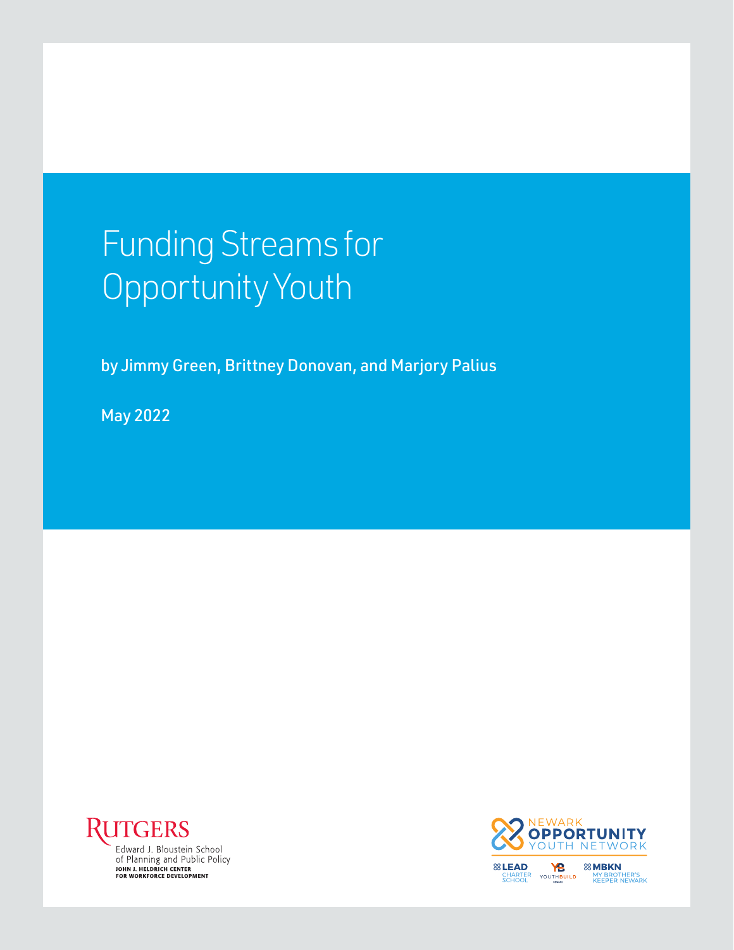# Funding Streams for Opportunity Youth

by Jimmy Green, Brittney Donovan, and Marjory Palius

May 2022



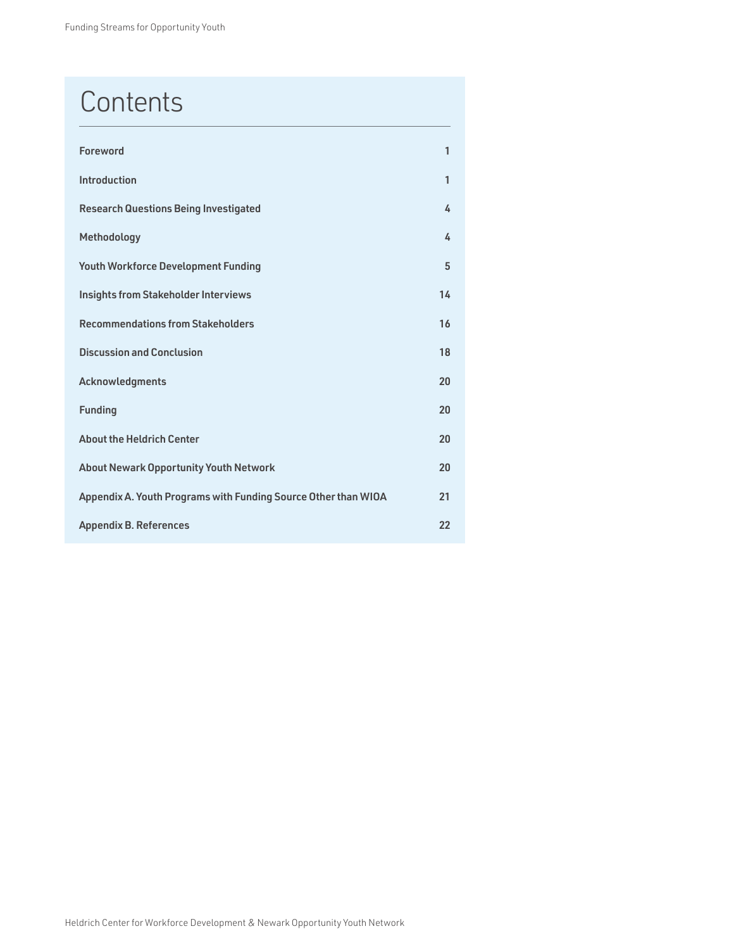### **Contents**

| <b>Foreword</b>                                                | 1  |
|----------------------------------------------------------------|----|
| Introduction                                                   | 1  |
| <b>Research Questions Being Investigated</b>                   | 4  |
| Methodology                                                    | 4  |
| <b>Youth Workforce Development Funding</b>                     | 5  |
| <b>Insights from Stakeholder Interviews</b>                    | 14 |
| <b>Recommendations from Stakeholders</b>                       | 16 |
| <b>Discussion and Conclusion</b>                               | 18 |
| Acknowledgments                                                | 20 |
| <b>Funding</b>                                                 | 20 |
| <b>About the Heldrich Center</b>                               | 20 |
| <b>About Newark Opportunity Youth Network</b>                  | 20 |
| Appendix A. Youth Programs with Funding Source Other than WIOA | 21 |
| <b>Appendix B. References</b>                                  | 22 |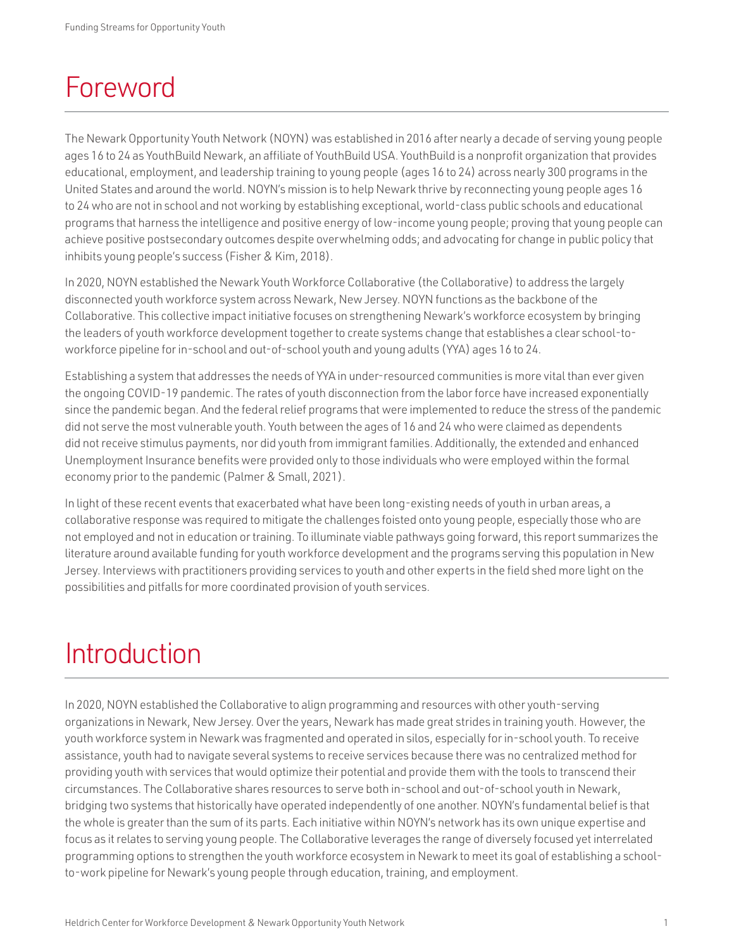### <span id="page-2-0"></span>Foreword

The Newark Opportunity Youth Network (NOYN) was established in 2016 after nearly a decade of serving young people ages 16 to 24 as YouthBuild Newark, an affiliate of YouthBuild USA. YouthBuild is a nonprofit organization that provides educational, employment, and leadership training to young people (ages 16 to 24) across nearly 300 programs in the United States and around the world. NOYN's mission is to help Newark thrive by reconnecting young people ages 16 to 24 who are not in school and not working by establishing exceptional, world-class public schools and educational programs that harness the intelligence and positive energy of low-income young people; proving that young people can achieve positive postsecondary outcomes despite overwhelming odds; and advocating for change in public policy that inhibits young people's success (Fisher & Kim, 2018).

In 2020, NOYN established the Newark Youth Workforce Collaborative (the Collaborative) to address the largely disconnected youth workforce system across Newark, New Jersey. NOYN functions as the backbone of the Collaborative. This collective impact initiative focuses on strengthening Newark's workforce ecosystem by bringing the leaders of youth workforce development together to create systems change that establishes a clear school-toworkforce pipeline for in-school and out-of-school youth and young adults (YYA) ages 16 to 24.

Establishing a system that addresses the needs of YYA in under-resourced communities is more vital than ever given the ongoing COVID-19 pandemic. The rates of youth disconnection from the labor force have increased exponentially since the pandemic began. And the federal relief programs that were implemented to reduce the stress of the pandemic did not serve the most vulnerable youth. Youth between the ages of 16 and 24 who were claimed as dependents did not receive stimulus payments, nor did youth from immigrant families. Additionally, the extended and enhanced Unemployment Insurance benefits were provided only to those individuals who were employed within the formal economy prior to the pandemic (Palmer & Small, 2021).

In light of these recent events that exacerbated what have been long-existing needs of youth in urban areas, a collaborative response was required to mitigate the challenges foisted onto young people, especially those who are not employed and not in education or training. To illuminate viable pathways going forward, this report summarizes the literature around available funding for youth workforce development and the programs serving this population in New Jersey. Interviews with practitioners providing services to youth and other experts in the field shed more light on the possibilities and pitfalls for more coordinated provision of youth services.

### Introduction

In 2020, NOYN established the Collaborative to align programming and resources with other youth-serving organizations in Newark, New Jersey. Over the years, Newark has made great strides in training youth. However, the youth workforce system in Newark was fragmented and operated in silos, especially for in-school youth. To receive assistance, youth had to navigate several systems to receive services because there was no centralized method for providing youth with services that would optimize their potential and provide them with the tools to transcend their circumstances. The Collaborative shares resources to serve both in-school and out-of-school youth in Newark, bridging two systems that historically have operated independently of one another. NOYN's fundamental belief is that the whole is greater than the sum of its parts. Each initiative within NOYN's network has its own unique expertise and focus as it relates to serving young people. The Collaborative leverages the range of diversely focused yet interrelated programming options to strengthen the youth workforce ecosystem in Newark to meet its goal of establishing a schoolto-work pipeline for Newark's young people through education, training, and employment.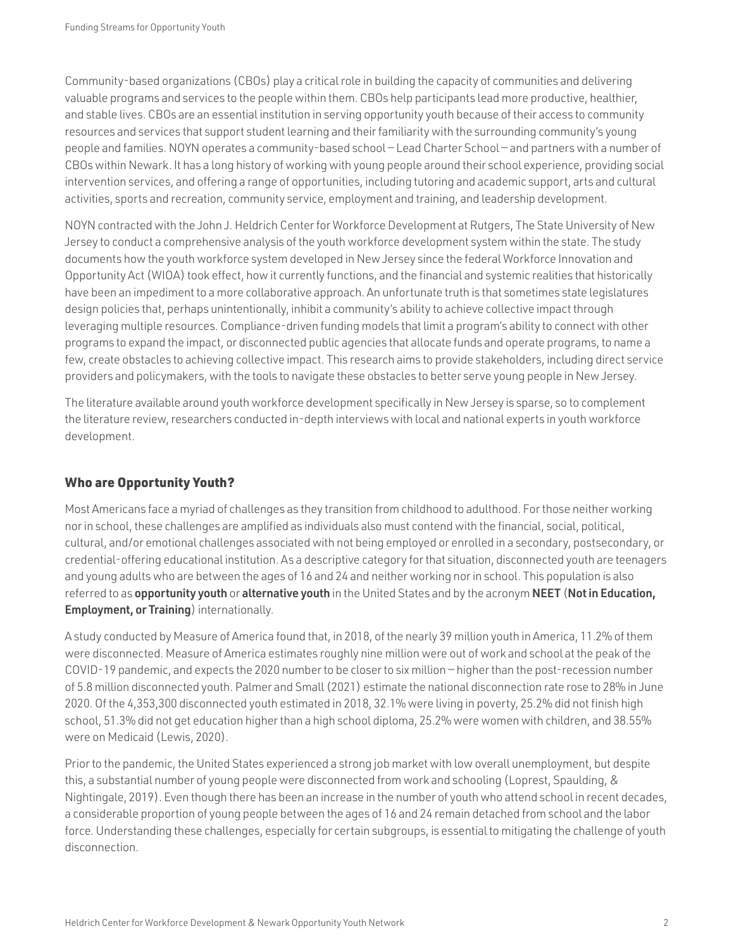Community-based organizations (CBOs) play a critical role in building the capacity of communities and delivering valuable programs and services to the people within them. CBOs help participants lead more productive, healthier, and stable lives. CBOs are an essential institution in serving opportunity youth because of their access to community resources and services that support student learning and their familiarity with the surrounding community's young people and families. NOYN operates a community-based school — Lead Charter School — and partners with a number of CBOs within Newark. It has a long history of working with young people around their school experience, providing social intervention services, and offering a range of opportunities, including tutoring and academic support, arts and cultural activities, sports and recreation, community service, employment and training, and leadership development.

NOYN contracted with the John J. Heldrich Center for Workforce Development at Rutgers, The State University of New Jersey to conduct a comprehensive analysis of the youth workforce development system within the state. The study documents how the youth workforce system developed in New Jersey since the federal Workforce Innovation and Opportunity Act (WIOA) took effect, how it currently functions, and the financial and systemic realities that historically have been an impediment to a more collaborative approach. An unfortunate truth is that sometimes state legislatures design policies that, perhaps unintentionally, inhibit a community's ability to achieve collective impact through leveraging multiple resources. Compliance-driven funding models that limit a program's ability to connect with other programs to expand the impact, or disconnected public agencies that allocate funds and operate programs, to name a few, create obstacles to achieving collective impact. This research aims to provide stakeholders, including direct service providers and policymakers, with the tools to navigate these obstacles to better serve young people in New Jersey.

The literature available around youth workforce development specifically in New Jersey is sparse, so to complement the literature review, researchers conducted in-depth interviews with local and national experts in youth workforce development.

#### Who are Opportunity Youth?

Most Americans face a myriad of challenges as they transition from childhood to adulthood. For those neither working nor in school, these challenges are amplified as individuals also must contend with the financial, social, political, cultural, and/or emotional challenges associated with not being employed or enrolled in a secondary, postsecondary, or credential-offering educational institution. As a descriptive category for that situation, disconnected youth are teenagers and young adults who are between the ages of 16 and 24 and neither working nor in school. This population is also referred to as opportunity youth or alternative youth in the United States and by the acronym NEET (Not in Education, **Employment, or Training**) internationally.

A study conducted by Measure of America found that, in 2018, of the nearly 39 million youth in America, 11.2% of them were disconnected. Measure of America estimates roughly nine million were out of work and school at the peak of the COVID-19 pandemic, and expects the 2020 number to be closer to six million — higher than the post-recession number of 5.8 million disconnected youth. Palmer and Small (2021) estimate the national disconnection rate rose to 28% in June 2020. Of the 4,353,300 disconnected youth estimated in 2018, 32.1% were living in poverty, 25.2% did not finish high school, 51.3% did not get education higher than a high school diploma, 25.2% were women with children, and 38.55% were on Medicaid (Lewis, 2020).

Prior to the pandemic, the United States experienced a strong job market with low overall unemployment, but despite this, a substantial number of young people were disconnected from work and schooling (Loprest, Spaulding, & Nightingale, 2019). Even though there has been an increase in the number of youth who attend school in recent decades, a considerable proportion of young people between the ages of 16 and 24 remain detached from school and the labor force. Understanding these challenges, especially for certain subgroups, is essential to mitigating the challenge of youth disconnection.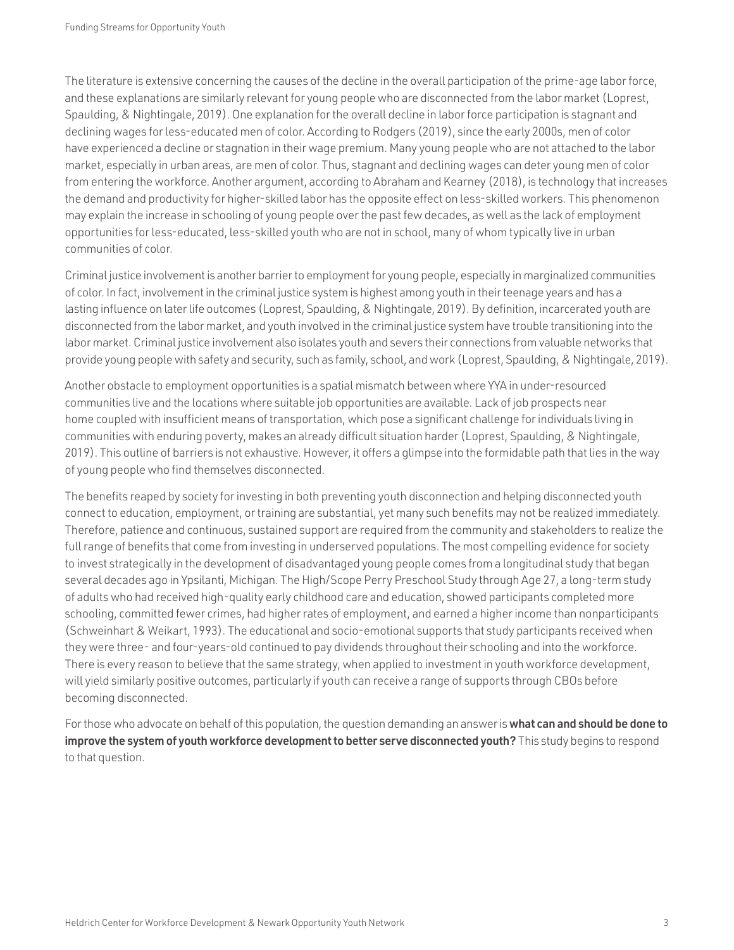The literature is extensive concerning the causes of the decline in the overall participation of the prime-age labor force, and these explanations are similarly relevant for young people who are disconnected from the labor market (Loprest, Spaulding, & Nightingale, 2019). One explanation for the overall decline in labor force participation is stagnant and declining wages for less-educated men of color. According to Rodgers (2019), since the early 2000s, men of color have experienced a decline or stagnation in their wage premium. Many young people who are not attached to the labor market, especially in urban areas, are men of color. Thus, stagnant and declining wages can deter young men of color from entering the workforce. Another argument, according to Abraham and Kearney (2018), is technology that increases the demand and productivity for higher-skilled labor has the opposite effect on less-skilled workers. This phenomenon may explain the increase in schooling of young people over the past few decades, as well as the lack of employment opportunities for less-educated, less-skilled youth who are not in school, many of whom typically live in urban communities of color.

Criminal justice involvement is another barrier to employment for young people, especially in marginalized communities of color. In fact, involvement in the criminal justice system is highest among youth in their teenage years and has a lasting influence on later life outcomes (Loprest, Spaulding, & Nightingale, 2019). By definition, incarcerated youth are disconnected from the labor market, and youth involved in the criminal justice system have trouble transitioning into the labor market. Criminal justice involvement also isolates youth and severs their connections from valuable networks that provide young people with safety and security, such as family, school, and work (Loprest, Spaulding, & Nightingale, 2019).

Another obstacle to employment opportunities is a spatial mismatch between where YYA in under-resourced communities live and the locations where suitable job opportunities are available. Lack of job prospects near home coupled with insufficient means of transportation, which pose a significant challenge for individuals living in communities with enduring poverty, makes an already difficult situation harder (Loprest, Spaulding, & Nightingale, 2019). This outline of barriers is not exhaustive. However, it offers a glimpse into the formidable path that lies in the way of young people who find themselves disconnected.

The benefits reaped by society for investing in both preventing youth disconnection and helping disconnected youth connect to education, employment, or training are substantial, yet many such benefits may not be realized immediately. Therefore, patience and continuous, sustained support are required from the community and stakeholders to realize the full range of benefits that come from investing in underserved populations. The most compelling evidence for society to invest strategically in the development of disadvantaged young people comes from a longitudinal study that began several decades ago in Ypsilanti, Michigan. The High/Scope Perry Preschool Study through Age 27, a long-term study of adults who had received high-quality early childhood care and education, showed participants completed more schooling, committed fewer crimes, had higher rates of employment, and earned a higher income than nonparticipants (Schweinhart & Weikart, 1993). The educational and socio-emotional supports that study participants received when they were three- and four-years-old continued to pay dividends throughout their schooling and into the workforce. There is every reason to believe that the same strategy, when applied to investment in youth workforce development, will yield similarly positive outcomes, particularly if youth can receive a range of supports through CBOs before becoming disconnected.

For those who advocate on behalf of this population, the question demanding an answer is what can and should be done to improve the system of youth workforce development to better serve disconnected youth? This study begins to respond to that question.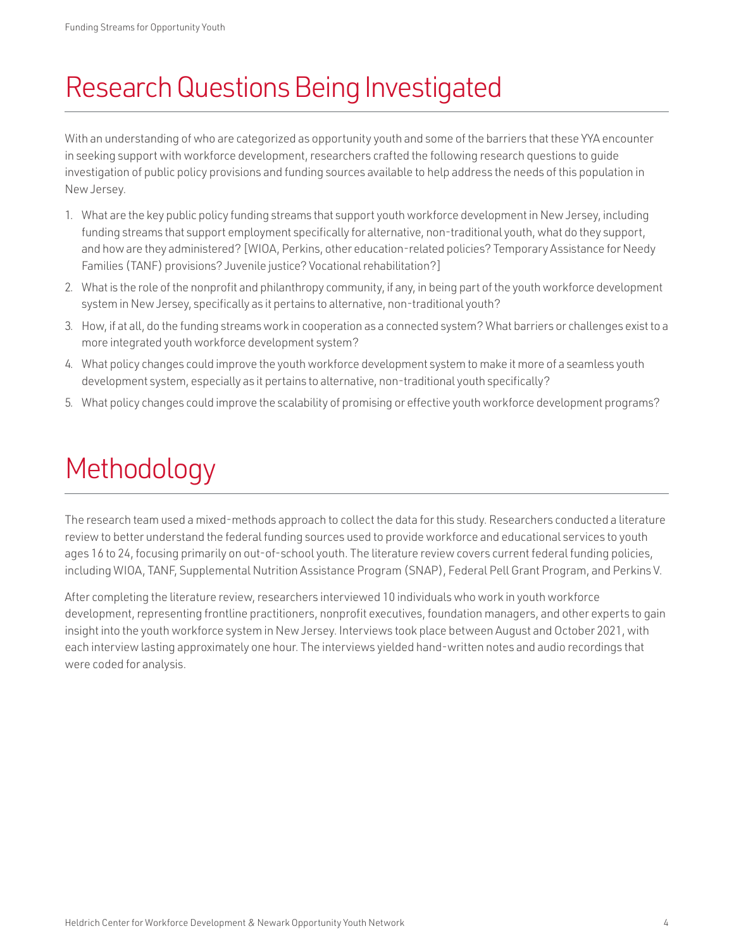### <span id="page-5-0"></span>Research Questions Being Investigated

With an understanding of who are categorized as opportunity youth and some of the barriers that these YYA encounter in seeking support with workforce development, researchers crafted the following research questions to guide investigation of public policy provisions and funding sources available to help address the needs of this population in New Jersey.

- 1. What are the key public policy funding streams that support youth workforce development in New Jersey, including funding streams that support employment specifically for alternative, non-traditional youth, what do they support, and how are they administered? [WIOA, Perkins, other education-related policies? Temporary Assistance for Needy Families (TANF) provisions? Juvenile justice? Vocational rehabilitation?]
- 2. What is the role of the nonprofit and philanthropy community, if any, in being part of the youth workforce development system in New Jersey, specifically as it pertains to alternative, non-traditional youth?
- 3. How, if at all, do the funding streams work in cooperation as a connected system? What barriers or challenges exist to a more integrated youth workforce development system?
- 4. What policy changes could improve the youth workforce development system to make it more of a seamless youth development system, especially as it pertains to alternative, non-traditional youth specifically?
- 5. What policy changes could improve the scalability of promising or effective youth workforce development programs?

## Methodology

The research team used a mixed-methods approach to collect the data for this study. Researchers conducted a literature review to better understand the federal funding sources used to provide workforce and educational services to youth ages 16 to 24, focusing primarily on out-of-school youth. The literature review covers current federal funding policies, including WIOA, TANF, Supplemental Nutrition Assistance Program (SNAP), Federal Pell Grant Program, and Perkins V.

After completing the literature review, researchers interviewed 10 individuals who work in youth workforce development, representing frontline practitioners, nonprofit executives, foundation managers, and other experts to gain insight into the youth workforce system in New Jersey. Interviews took place between August and October 2021, with each interview lasting approximately one hour. The interviews yielded hand-written notes and audio recordings that were coded for analysis.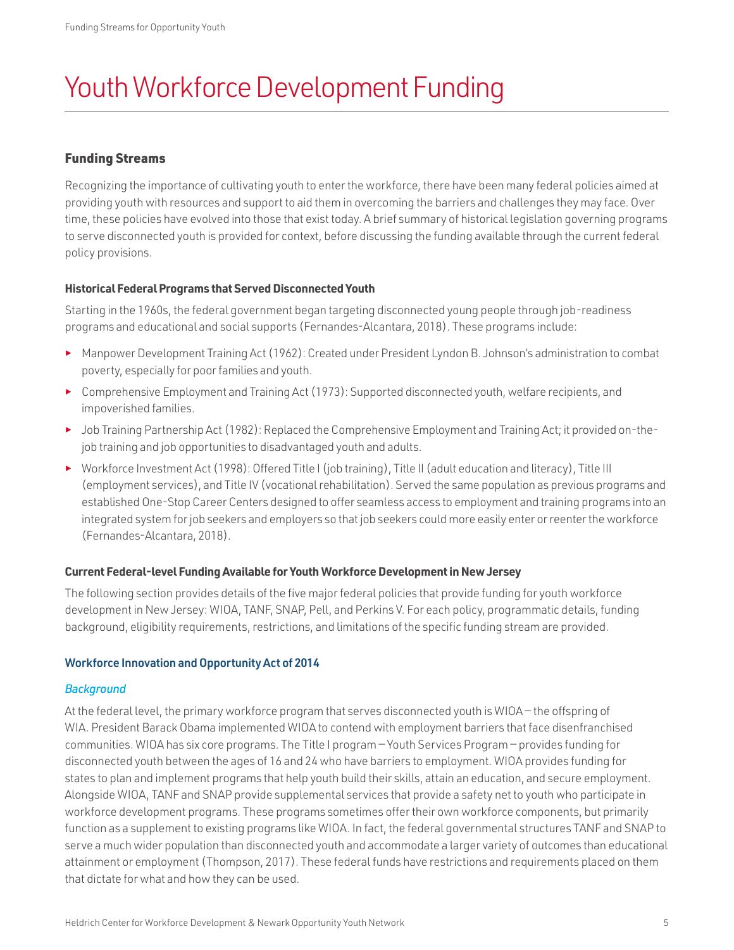## <span id="page-6-0"></span>Youth Workforce Development Funding

#### Funding Streams

Recognizing the importance of cultivating youth to enter the workforce, there have been many federal policies aimed at providing youth with resources and support to aid them in overcoming the barriers and challenges they may face. Over time, these policies have evolved into those that exist today. A brief summary of historical legislation governing programs to serve disconnected youth is provided for context, before discussing the funding available through the current federal policy provisions.

#### **Historical Federal Programs that Served Disconnected Youth**

Starting in the 1960s, the federal government began targeting disconnected young people through job-readiness programs and educational and social supports (Fernandes-Alcantara, 2018). These programs include:

- ► Manpower Development Training Act (1962): Created under President Lyndon B. Johnson's administration to combat poverty, especially for poor families and youth.
- ► Comprehensive Employment and Training Act (1973): Supported disconnected youth, welfare recipients, and impoverished families.
- ► Job Training Partnership Act (1982): Replaced the Comprehensive Employment and Training Act; it provided on-thejob training and job opportunities to disadvantaged youth and adults.
- ► Workforce Investment Act (1998): Offered Title I (job training), Title II (adult education and literacy), Title III (employment services), and Title IV (vocational rehabilitation). Served the same population as previous programs and established One-Stop Career Centers designed to offer seamless access to employment and training programs into an integrated system for job seekers and employers so that job seekers could more easily enter or reenter the workforce (Fernandes-Alcantara, 2018).

#### **Current Federal-level Funding Available for Youth Workforce Development in New Jersey**

The following section provides details of the five major federal policies that provide funding for youth workforce development in New Jersey: WIOA, TANF, SNAP, Pell, and Perkins V. For each policy, programmatic details, funding background, eligibility requirements, restrictions, and limitations of the specific funding stream are provided.

#### Workforce Innovation and Opportunity Act of 2014

#### *Background*

At the federal level, the primary workforce program that serves disconnected youth is WIOA — the offspring of WIA. President Barack Obama implemented WIOA to contend with employment barriers that face disenfranchised communities. WIOA has six core programs. The Title I program — Youth Services Program — provides funding for disconnected youth between the ages of 16 and 24 who have barriers to employment. WIOA provides funding for states to plan and implement programs that help youth build their skills, attain an education, and secure employment. Alongside WIOA, TANF and SNAP provide supplemental services that provide a safety net to youth who participate in workforce development programs. These programs sometimes offer their own workforce components, but primarily function as a supplement to existing programs like WIOA. In fact, the federal governmental structures TANF and SNAP to serve a much wider population than disconnected youth and accommodate a larger variety of outcomes than educational attainment or employment (Thompson, 2017). These federal funds have restrictions and requirements placed on them that dictate for what and how they can be used.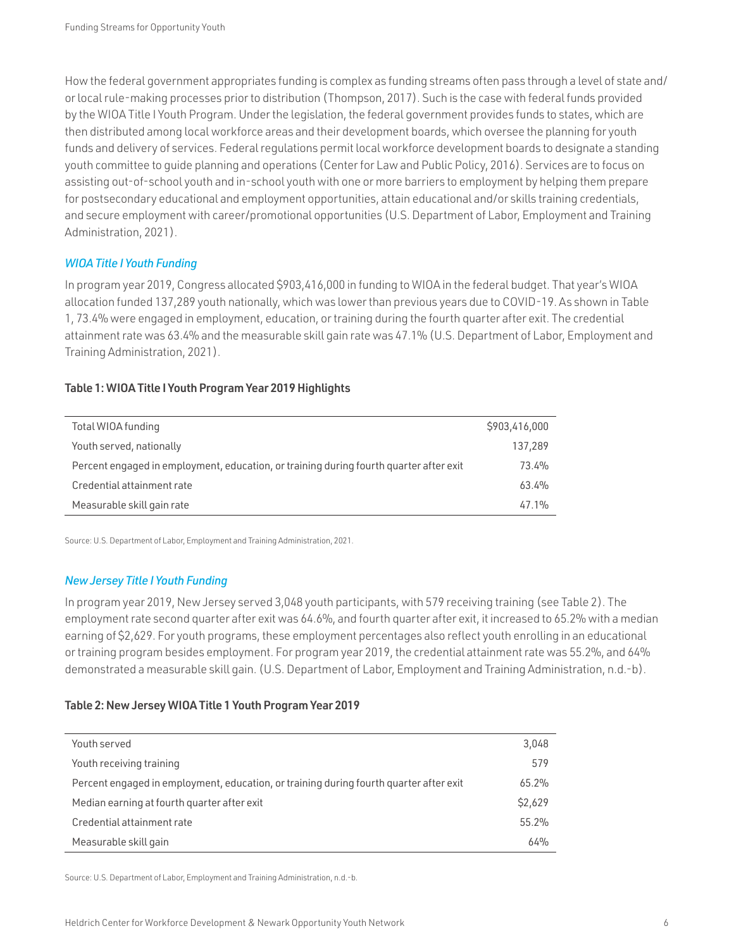How the federal government appropriates funding is complex as funding streams often pass through a level of state and/ or local rule-making processes prior to distribution (Thompson, 2017). Such is the case with federal funds provided by the WIOA Title I Youth Program. Under the legislation, the federal government provides funds to states, which are then distributed among local workforce areas and their development boards, which oversee the planning for youth funds and delivery of services. Federal regulations permit local workforce development boards to designate a standing youth committee to guide planning and operations (Center for Law and Public Policy, 2016). Services are to focus on assisting out-of-school youth and in-school youth with one or more barriers to employment by helping them prepare for postsecondary educational and employment opportunities, attain educational and/or skills training credentials, and secure employment with career/promotional opportunities (U.S. Department of Labor, Employment and Training Administration, 2021).

#### *WIOA Title I Youth Funding*

In program year 2019, Congress allocated \$903,416,000 in funding to WIOA in the federal budget. That year's WIOA allocation funded 137,289 youth nationally, which was lower than previous years due to COVID-19. As shown in Table 1, 73.4% were engaged in employment, education, or training during the fourth quarter after exit. The credential attainment rate was 63.4% and the measurable skill gain rate was 47.1% (U.S. Department of Labor, Employment and Training Administration, 2021).

#### Table 1: WIOA Title I Youth Program Year 2019 Highlights

| Total WIOA funding                                                                     | \$903,416,000 |
|----------------------------------------------------------------------------------------|---------------|
| Youth served, nationally                                                               | 137,289       |
| Percent engaged in employment, education, or training during fourth quarter after exit | 73.4%         |
| Credential attainment rate                                                             | 63.4%         |
| Measurable skill gain rate                                                             | 47.1%         |

Source: U.S. Department of Labor, Employment and Training Administration, 2021.

#### *New Jersey Title I Youth Funding*

In program year 2019, New Jersey served 3,048 youth participants, with 579 receiving training (see Table 2). The employment rate second quarter after exit was 64.6%, and fourth quarter after exit, it increased to 65.2% with a median earning of \$2,629. For youth programs, these employment percentages also reflect youth enrolling in an educational or training program besides employment. For program year 2019, the credential attainment rate was 55.2%, and 64% demonstrated a measurable skill gain. (U.S. Department of Labor, Employment and Training Administration, n.d.-b).

#### Table 2: New Jersey WIOA Title 1 Youth Program Year 2019

| Youth served                                                                           | 3,048    |
|----------------------------------------------------------------------------------------|----------|
| Youth receiving training                                                               | 579      |
| Percent engaged in employment, education, or training during fourth quarter after exit | $65.2\%$ |
| Median earning at fourth quarter after exit                                            | \$2,629  |
| Credential attainment rate                                                             | 55.2%    |
| Measurable skill gain                                                                  | 64%      |

Source: U.S. Department of Labor, Employment and Training Administration, n.d.-b.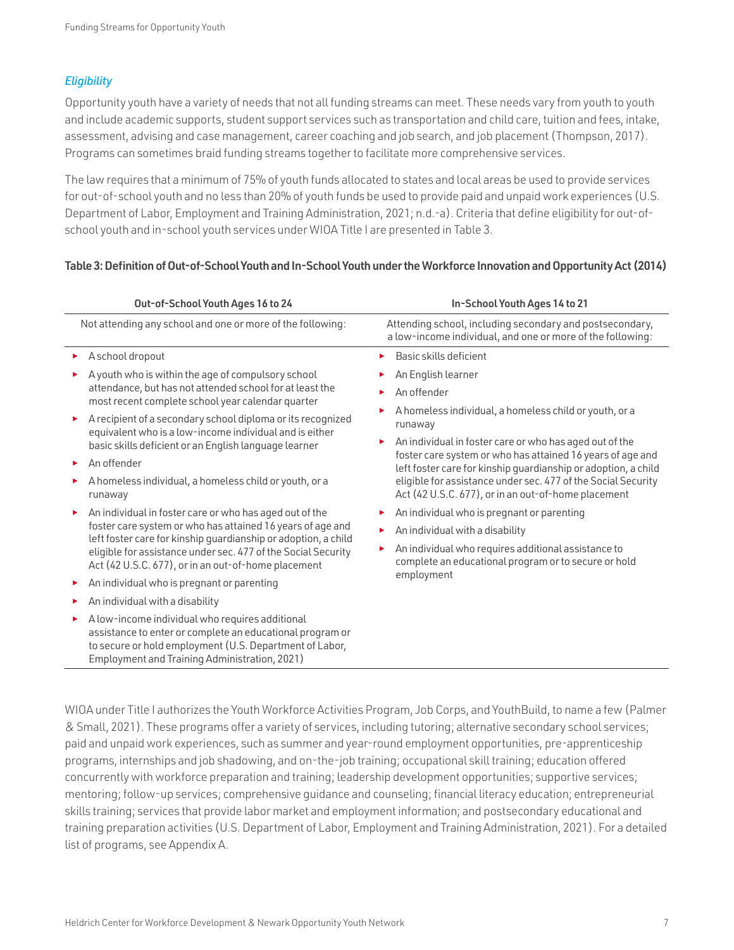#### *Eligibility*

Opportunity youth have a variety of needs that not all funding streams can meet. These needs vary from youth to youth and include academic supports, student support services such as transportation and child care, tuition and fees, intake, assessment, advising and case management, career coaching and job search, and job placement (Thompson, 2017). Programs can sometimes braid funding streams together to facilitate more comprehensive services.

The law requires that a minimum of 75% of youth funds allocated to states and local areas be used to provide services for out-of-school youth and no less than 20% of youth funds be used to provide paid and unpaid work experiences (U.S. Department of Labor, Employment and Training Administration, 2021; n.d.-a). Criteria that define eligibility for out-ofschool youth and in-school youth services under WIOA Title I are presented in Table 3.

#### Table 3: Definition of Out-of-School Youth and In-School Youth under the Workforce Innovation and Opportunity Act (2014)

| Out-of-School Youth Ages 16 to 24                                                                                                                                                                                        | In-School Youth Ages 14 to 21                                                                                                |  |
|--------------------------------------------------------------------------------------------------------------------------------------------------------------------------------------------------------------------------|------------------------------------------------------------------------------------------------------------------------------|--|
| Not attending any school and one or more of the following:                                                                                                                                                               | Attending school, including secondary and postsecondary,<br>a low-income individual, and one or more of the following:       |  |
| A school dropout<br>▶.                                                                                                                                                                                                   | Basic skills deficient                                                                                                       |  |
| A youth who is within the age of compulsory school                                                                                                                                                                       | An English learner                                                                                                           |  |
| attendance, but has not attended school for at least the<br>most recent complete school year calendar quarter                                                                                                            | An offender                                                                                                                  |  |
| A recipient of a secondary school diploma or its recognized<br>equivalent who is a low-income individual and is either                                                                                                   | A homeless individual, a homeless child or youth, or a<br>runaway                                                            |  |
| basic skills deficient or an English language learner                                                                                                                                                                    | An individual in foster care or who has aged out of the                                                                      |  |
| An offender                                                                                                                                                                                                              | foster care system or who has attained 16 years of age and<br>left foster care for kinship guardianship or adoption, a child |  |
| A homeless individual, a homeless child or youth, or a<br>runaway                                                                                                                                                        | eligible for assistance under sec. 477 of the Social Security<br>Act (42 U.S.C. 677), or in an out-of-home placement         |  |
| An individual in foster care or who has aged out of the                                                                                                                                                                  | An individual who is pregnant or parenting                                                                                   |  |
| foster care system or who has attained 16 years of age and<br>left foster care for kinship guardianship or adoption, a child                                                                                             | An individual with a disability                                                                                              |  |
| eligible for assistance under sec. 477 of the Social Security<br>Act (42 U.S.C. 677), or in an out-of-home placement                                                                                                     | An individual who requires additional assistance to<br>complete an educational program or to secure or hold                  |  |
| An individual who is pregnant or parenting                                                                                                                                                                               | employment                                                                                                                   |  |
| An individual with a disability<br>▶                                                                                                                                                                                     |                                                                                                                              |  |
| A low-income individual who requires additional<br>assistance to enter or complete an educational program or<br>to secure or hold employment (U.S. Department of Labor,<br>Employment and Training Administration, 2021) |                                                                                                                              |  |

WIOA under Title I authorizes the Youth Workforce Activities Program, Job Corps, and YouthBuild, to name a few (Palmer & Small, 2021). These programs offer a variety of services, including tutoring; alternative secondary school services; paid and unpaid work experiences, such as summer and year-round employment opportunities, pre-apprenticeship programs, internships and job shadowing, and on-the-job training; occupational skill training; education offered concurrently with workforce preparation and training; leadership development opportunities; supportive services; mentoring; follow-up services; comprehensive guidance and counseling; financial literacy education; entrepreneurial skills training; services that provide labor market and employment information; and postsecondary educational and training preparation activities (U.S. Department of Labor, Employment and Training Administration, 2021). For a detailed list of programs, see Appendix A.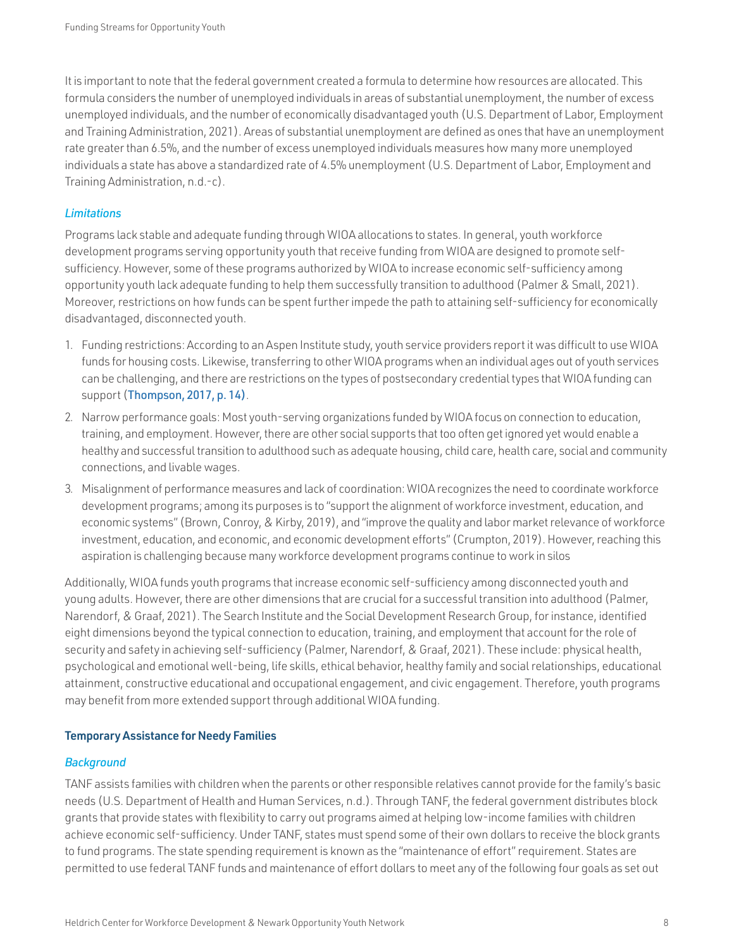It is important to note that the federal government created a formula to determine how resources are allocated. This formula considers the number of unemployed individuals in areas of substantial unemployment, the number of excess unemployed individuals, and the number of economically disadvantaged youth (U.S. Department of Labor, Employment and Training Administration, 2021). Areas of substantial unemployment are defined as ones that have an unemployment rate greater than 6.5%, and the number of excess unemployed individuals measures how many more unemployed individuals a state has above a standardized rate of 4.5% unemployment (U.S. Department of Labor, Employment and Training Administration, n.d.-c).

#### *Limitations*

Programs lack stable and adequate funding through WIOA allocations to states. In general, youth workforce development programs serving opportunity youth that receive funding from WIOA are designed to promote selfsufficiency. However, some of these programs authorized by WIOA to increase economic self-sufficiency among opportunity youth lack adequate funding to help them successfully transition to adulthood (Palmer & Small, 2021). Moreover, restrictions on how funds can be spent further impede the path to attaining self-sufficiency for economically disadvantaged, disconnected youth.

- 1. Funding restrictions: According to an Aspen Institute study, youth service providers report it was difficult to use WIOA funds for housing costs. Likewise, transferring to other WIOA programs when an individual ages out of youth services can be challenging, and there are restrictions on the types of postsecondary credential types that WIOA funding can support ([Thompson, 2017, p. 14\)](https://aspencommunitysolutions.org/wp-content/uploads/2013/06/OpportunityLost-Final-Digital.pdf).
- 2. Narrow performance goals: Most youth-serving organizations funded by WIOA focus on connection to education, training, and employment. However, there are other social supports that too often get ignored yet would enable a healthy and successful transition to adulthood such as adequate housing, child care, health care, social and community connections, and livable wages.
- 3. Misalignment of performance measures and lack of coordination: WIOA recognizes the need to coordinate workforce development programs; among its purposes is to "support the alignment of workforce investment, education, and economic systems" (Brown, Conroy, & Kirby, 2019), and "improve the quality and labor market relevance of workforce investment, education, and economic, and economic development efforts" (Crumpton, 2019). However, reaching this aspiration is challenging because many workforce development programs continue to work in silos

Additionally, WIOA funds youth programs that increase economic self-sufficiency among disconnected youth and young adults. However, there are other dimensions that are crucial for a successful transition into adulthood (Palmer, Narendorf, & Graaf, 2021). The Search Institute and the Social Development Research Group, for instance, identified eight dimensions beyond the typical connection to education, training, and employment that account for the role of security and safety in achieving self-sufficiency (Palmer, Narendorf, & Graaf, 2021). These include: physical health, psychological and emotional well-being, life skills, ethical behavior, healthy family and social relationships, educational attainment, constructive educational and occupational engagement, and civic engagement. Therefore, youth programs may benefit from more extended support through additional WIOA funding.

#### Temporary Assistance for Needy Families

#### *Background*

TANF assists families with children when the parents or other responsible relatives cannot provide for the family's basic needs (U.S. Department of Health and Human Services, n.d.). Through TANF, the federal government distributes block grants that provide states with flexibility to carry out programs aimed at helping low-income families with children achieve economic self-sufficiency. Under TANF, states must spend some of their own dollars to receive the block grants to fund programs. The state spending requirement is known as the "maintenance of effort" requirement. States are permitted to use federal TANF funds and maintenance of effort dollars to meet any of the following four goals as set out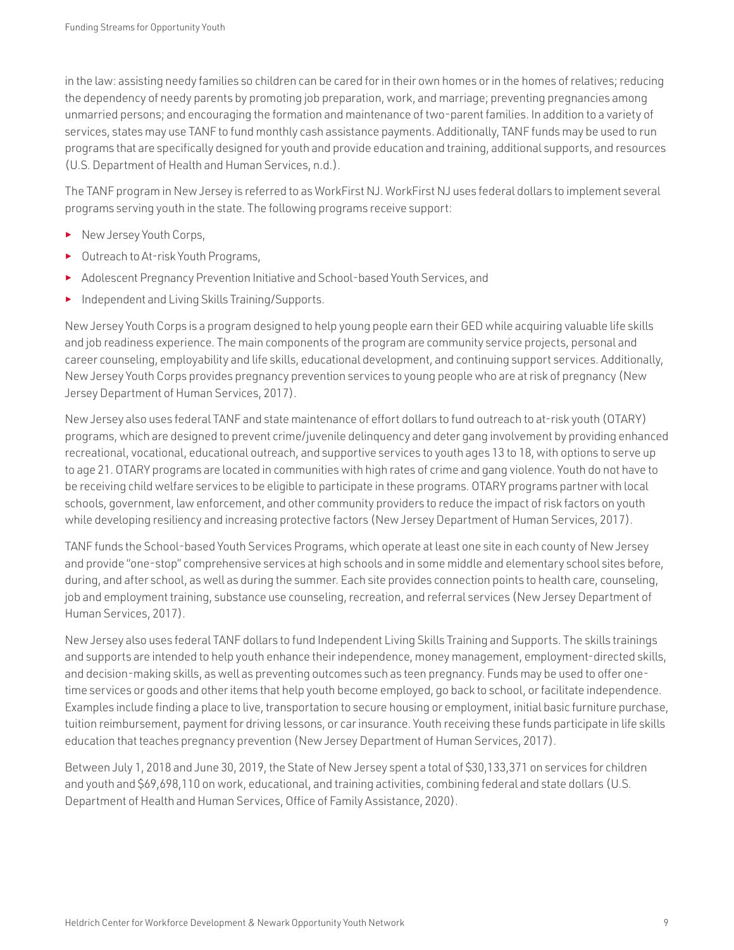in the law: assisting needy families so children can be cared for in their own homes or in the homes of relatives; reducing the dependency of needy parents by promoting job preparation, work, and marriage; preventing pregnancies among unmarried persons; and encouraging the formation and maintenance of two-parent families. In addition to a variety of services, states may use TANF to fund monthly cash assistance payments. Additionally, TANF funds may be used to run programs that are specifically designed for youth and provide education and training, additional supports, and resources (U.S. Department of Health and Human Services, n.d.).

The TANF program in New Jersey is referred to as WorkFirst NJ. WorkFirst NJ uses federal dollars to implement several programs serving youth in the state. The following programs receive support:

- ► New Jersey Youth Corps,
- Outreach to At-risk Youth Programs,
- Adolescent Pregnancy Prevention Initiative and School-based Youth Services, and
- ► Independent and Living Skills Training/Supports.

New Jersey Youth Corps is a program designed to help young people earn their GED while acquiring valuable life skills and job readiness experience. The main components of the program are community service projects, personal and career counseling, employability and life skills, educational development, and continuing support services. Additionally, New Jersey Youth Corps provides pregnancy prevention services to young people who are at risk of pregnancy (New Jersey Department of Human Services, 2017).

New Jersey also uses federal TANF and state maintenance of effort dollars to fund outreach to at-risk youth (OTARY) programs, which are designed to prevent crime/juvenile delinquency and deter gang involvement by providing enhanced recreational, vocational, educational outreach, and supportive services to youth ages 13 to 18, with options to serve up to age 21. OTARY programs are located in communities with high rates of crime and gang violence. Youth do not have to be receiving child welfare services to be eligible to participate in these programs. OTARY programs partner with local schools, government, law enforcement, and other community providers to reduce the impact of risk factors on youth while developing resiliency and increasing protective factors (New Jersey Department of Human Services, 2017).

TANF funds the School-based Youth Services Programs, which operate at least one site in each county of New Jersey and provide "one-stop" comprehensive services at high schools and in some middle and elementary school sites before, during, and after school, as well as during the summer. Each site provides connection points to health care, counseling, job and employment training, substance use counseling, recreation, and referral services (New Jersey Department of Human Services, 2017).

New Jersey also uses federal TANF dollars to fund Independent Living Skills Training and Supports. The skills trainings and supports are intended to help youth enhance their independence, money management, employment-directed skills, and decision-making skills, as well as preventing outcomes such as teen pregnancy. Funds may be used to offer onetime services or goods and other items that help youth become employed, go back to school, or facilitate independence. Examples include finding a place to live, transportation to secure housing or employment, initial basic furniture purchase, tuition reimbursement, payment for driving lessons, or car insurance. Youth receiving these funds participate in life skills education that teaches pregnancy prevention (New Jersey Department of Human Services, 2017).

Between July 1, 2018 and June 30, 2019, the State of New Jersey spent a total of \$30,133,371 on services for children and youth and \$69,698,110 on work, educational, and training activities, combining federal and state dollars (U.S. Department of Health and Human Services, Office of Family Assistance, 2020).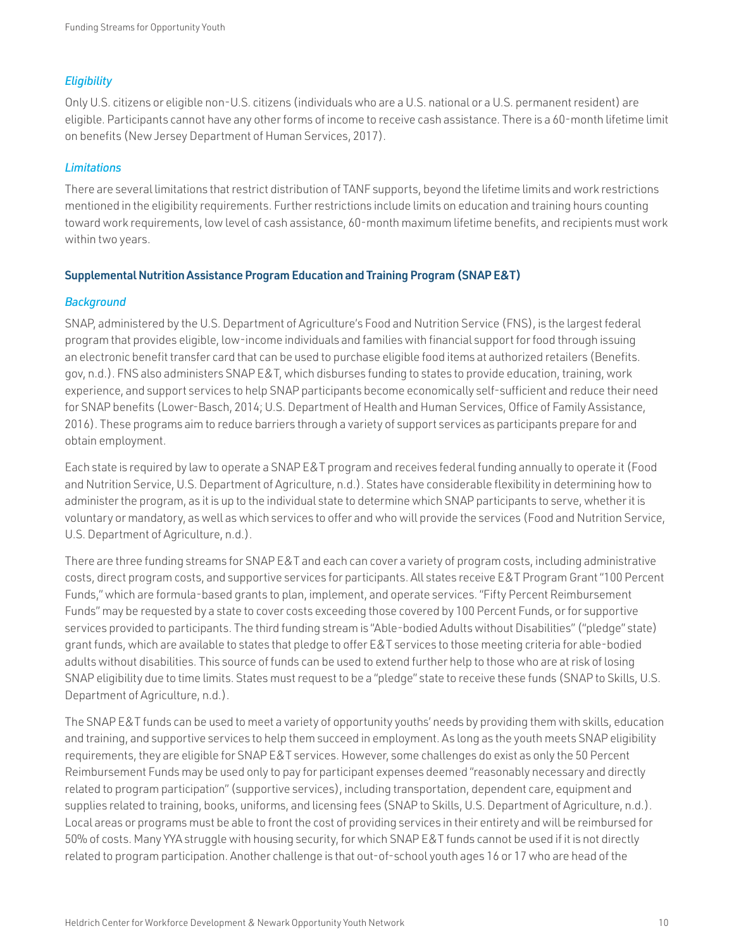#### *Eligibility*

Only U.S. citizens or eligible non-U.S. citizens (individuals who are a U.S. national or a U.S. permanent resident) are eligible. Participants cannot have any other forms of income to receive cash assistance. There is a 60-month lifetime limit on benefits (New Jersey Department of Human Services, 2017).

#### *Limitations*

There are several limitations that restrict distribution of TANF supports, beyond the lifetime limits and work restrictions mentioned in the eligibility requirements. Further restrictions include limits on education and training hours counting toward work requirements, low level of cash assistance, 60-month maximum lifetime benefits, and recipients must work within two years.

#### Supplemental Nutrition Assistance Program Education and Training Program (SNAP E&T)

#### *Background*

SNAP, administered by the U.S. Department of Agriculture's Food and Nutrition Service (FNS), is the largest federal program that provides eligible, low-income individuals and families with financial support for food through issuing an electronic benefit transfer card that can be used to purchase eligible food items at authorized retailers [\(Benefits.](http://Benefits.gov) [gov,](http://Benefits.gov) n.d.). FNS also administers SNAP E&T, which disburses funding to states to provide education, training, work experience, and support services to help SNAP participants become economically self-sufficient and reduce their need for SNAP benefits (Lower-Basch, 2014; U.S. Department of Health and Human Services, Office of Family Assistance, 2016). These programs aim to reduce barriers through a variety of support services as participants prepare for and obtain employment.

Each state is required by law to operate a SNAP E&T program and receives federal funding annually to operate it (Food and Nutrition Service, U.S. Department of Agriculture, n.d.). States have considerable flexibility in determining how to administer the program, as it is up to the individual state to determine which SNAP participants to serve, whether it is voluntary or mandatory, as well as which services to offer and who will provide the services (Food and Nutrition Service, U.S. Department of Agriculture, n.d.).

There are three funding streams for SNAP E&T and each can cover a variety of program costs, including administrative costs, direct program costs, and supportive services for participants. All states receive E&T Program Grant "100 Percent Funds," which are formula-based grants to plan, implement, and operate services. "Fifty Percent Reimbursement Funds" may be requested by a state to cover costs exceeding those covered by 100 Percent Funds, or for supportive services provided to participants. The third funding stream is "Able-bodied Adults without Disabilities" ("pledge" state) grant funds, which are available to states that pledge to offer E&T services to those meeting criteria for able-bodied adults without disabilities. This source of funds can be used to extend further help to those who are at risk of losing SNAP eligibility due to time limits. States must request to be a "pledge" state to receive these funds (SNAP to Skills, U.S. Department of Agriculture, n.d.).

The SNAP E&T funds can be used to meet a variety of opportunity youths' needs by providing them with skills, education and training, and supportive services to help them succeed in employment. As long as the youth meets SNAP eligibility requirements, they are eligible for SNAP E&T services. However, some challenges do exist as only the 50 Percent Reimbursement Funds may be used only to pay for participant expenses deemed "reasonably necessary and directly related to program participation" (supportive services), including transportation, dependent care, equipment and supplies related to training, books, uniforms, and licensing fees (SNAP to Skills, U.S. Department of Agriculture, n.d.). Local areas or programs must be able to front the cost of providing services in their entirety and will be reimbursed for 50% of costs. Many YYA struggle with housing security, for which SNAP E&T funds cannot be used if it is not directly related to program participation. Another challenge is that out-of-school youth ages 16 or 17 who are head of the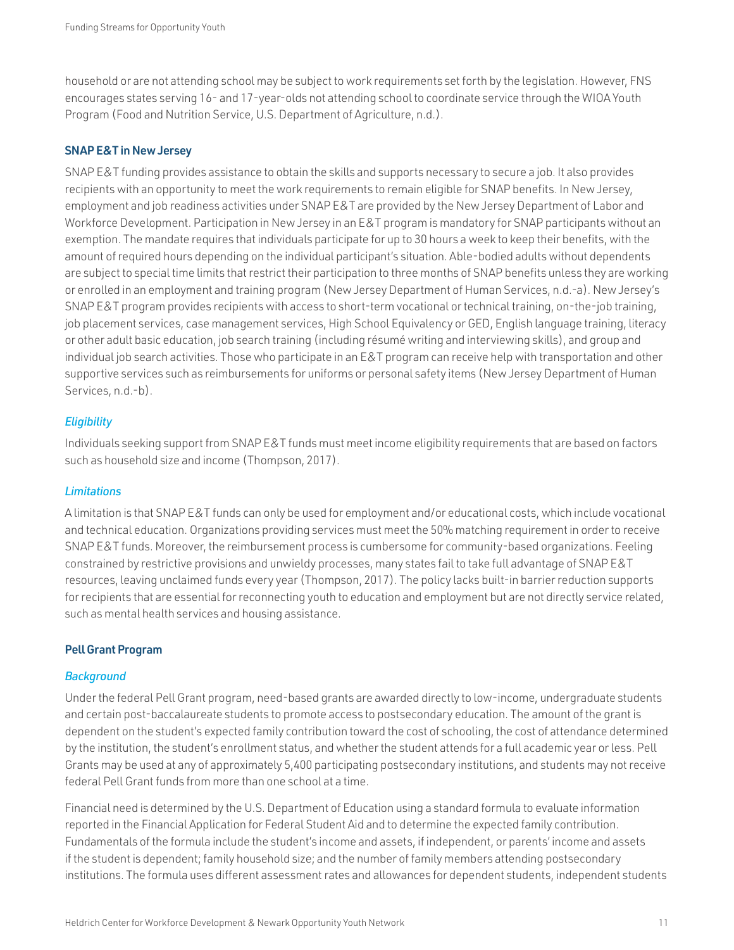household or are not attending school may be subject to work requirements set forth by the legislation. However, FNS encourages states serving 16- and 17-year-olds not attending school to coordinate service through the WIOA Youth Program (Food and Nutrition Service, U.S. Department of Agriculture, n.d.).

#### SNAP E&T in New Jersey

SNAP E&T funding provides assistance to obtain the skills and supports necessary to secure a job. It also provides recipients with an opportunity to meet the work requirements to remain eligible for SNAP benefits. In New Jersey, employment and job readiness activities under SNAP E&T are provided by the New Jersey Department of Labor and Workforce Development. Participation in New Jersey in an E&T program is mandatory for SNAP participants without an exemption. The mandate requires that individuals participate for up to 30 hours a week to keep their benefits, with the amount of required hours depending on the individual participant's situation. Able-bodied adults without dependents are subject to special time limits that restrict their participation to three months of SNAP benefits unless they are working or enrolled in an employment and training program (New Jersey Department of Human Services, n.d.-a). New Jersey's SNAP E&T program provides recipients with access to short-term vocational or technical training, on-the-job training, job placement services, case management services, High School Equivalency or GED, English language training, literacy or other adult basic education, job search training (including résumé writing and interviewing skills), and group and individual job search activities. Those who participate in an E&T program can receive help with transportation and other supportive services such as reimbursements for uniforms or personal safety items (New Jersey Department of Human Services, n.d.-b).

#### *Eligibility*

Individuals seeking support from SNAP E&T funds must meet income eligibility requirements that are based on factors such as household size and income (Thompson, 2017).

#### *Limitations*

A limitation is that SNAP E&T funds can only be used for employment and/or educational costs, which include vocational and technical education. Organizations providing services must meet the 50% matching requirement in order to receive SNAP E&T funds. Moreover, the reimbursement process is cumbersome for community-based organizations. Feeling constrained by restrictive provisions and unwieldy processes, many states fail to take full advantage of SNAP E&T resources, leaving unclaimed funds every year (Thompson, 2017). The policy lacks built-in barrier reduction supports for recipients that are essential for reconnecting youth to education and employment but are not directly service related, such as mental health services and housing assistance.

#### Pell Grant Program

#### *Background*

Under the federal Pell Grant program, need-based grants are awarded directly to low-income, undergraduate students and certain post-baccalaureate students to promote access to postsecondary education. The amount of the grant is dependent on the student's expected family contribution toward the cost of schooling, the cost of attendance determined by the institution, the student's enrollment status, and whether the student attends for a full academic year or less. Pell Grants may be used at any of approximately 5,400 participating postsecondary institutions, and students may not receive federal Pell Grant funds from more than one school at a time.

Financial need is determined by the U.S. Department of Education using a standard formula to evaluate information reported in the Financial Application for Federal Student Aid and to determine the expected family contribution. Fundamentals of the formula include the student's income and assets, if independent, or parents' income and assets if the student is dependent; family household size; and the number of family members attending postsecondary institutions. The formula uses different assessment rates and allowances for dependent students, independent students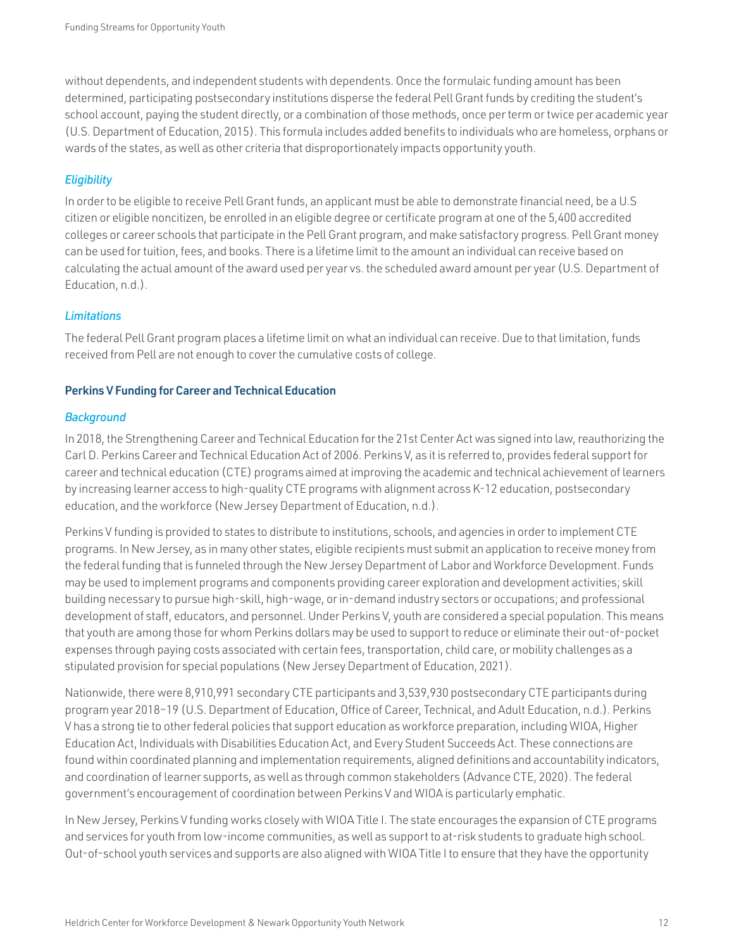without dependents, and independent students with dependents. Once the formulaic funding amount has been determined, participating postsecondary institutions disperse the federal Pell Grant funds by crediting the student's school account, paying the student directly, or a combination of those methods, once per term or twice per academic year (U.S. Department of Education, 2015). This formula includes added benefits to individuals who are homeless, orphans or wards of the states, as well as other criteria that disproportionately impacts opportunity youth.

#### *Eligibility*

In order to be eligible to receive Pell Grant funds, an applicant must be able to demonstrate financial need, be a U.S citizen or eligible noncitizen, be enrolled in an eligible degree or certificate program at one of the 5,400 accredited colleges or career schools that participate in the Pell Grant program, and make satisfactory progress. Pell Grant money can be used for tuition, fees, and books. There is a lifetime limit to the amount an individual can receive based on calculating the actual amount of the award used per year vs. the scheduled award amount per year (U.S. Department of Education, n.d.).

#### *Limitations*

The federal Pell Grant program places a lifetime limit on what an individual can receive. Due to that limitation, funds received from Pell are not enough to cover the cumulative costs of college.

#### Perkins V Funding for Career and Technical Education

#### *Background*

In 2018, the Strengthening Career and Technical Education for the 21st Center Act was signed into law, reauthorizing the Carl D. Perkins Career and Technical Education Act of 2006. Perkins V, as it is referred to, provides federal support for career and technical education (CTE) programs aimed at improving the academic and technical achievement of learners by increasing learner access to high-quality CTE programs with alignment across K-12 education, postsecondary education, and the workforce (New Jersey Department of Education, n.d.).

Perkins V funding is provided to states to distribute to institutions, schools, and agencies in order to implement CTE programs. In New Jersey, as in many other states, eligible recipients must submit an application to receive money from the federal funding that is funneled through the New Jersey Department of Labor and Workforce Development. Funds may be used to implement programs and components providing career exploration and development activities; skill building necessary to pursue high-skill, high-wage, or in-demand industry sectors or occupations; and professional development of staff, educators, and personnel. Under Perkins V, youth are considered a special population. This means that youth are among those for whom Perkins dollars may be used to support to reduce or eliminate their out-of-pocket expenses through paying costs associated with certain fees, transportation, child care, or mobility challenges as a stipulated provision for special populations (New Jersey Department of Education, 2021).

Nationwide, there were 8,910,991 secondary CTE participants and 3,539,930 postsecondary CTE participants during program year 2018–19 (U.S. Department of Education, Office of Career, Technical, and Adult Education, n.d.). Perkins V has a strong tie to other federal policies that support education as workforce preparation, including WIOA, Higher Education Act, Individuals with Disabilities Education Act, and Every Student Succeeds Act. These connections are found within coordinated planning and implementation requirements, aligned definitions and accountability indicators, and coordination of learner supports, as well as through common stakeholders (Advance CTE, 2020). The federal government's encouragement of coordination between Perkins V and WIOA is particularly emphatic.

In New Jersey, Perkins V funding works closely with WIOA Title I. The state encourages the expansion of CTE programs and services for youth from low-income communities, as well as support to at-risk students to graduate high school. Out-of-school youth services and supports are also aligned with WIOA Title I to ensure that they have the opportunity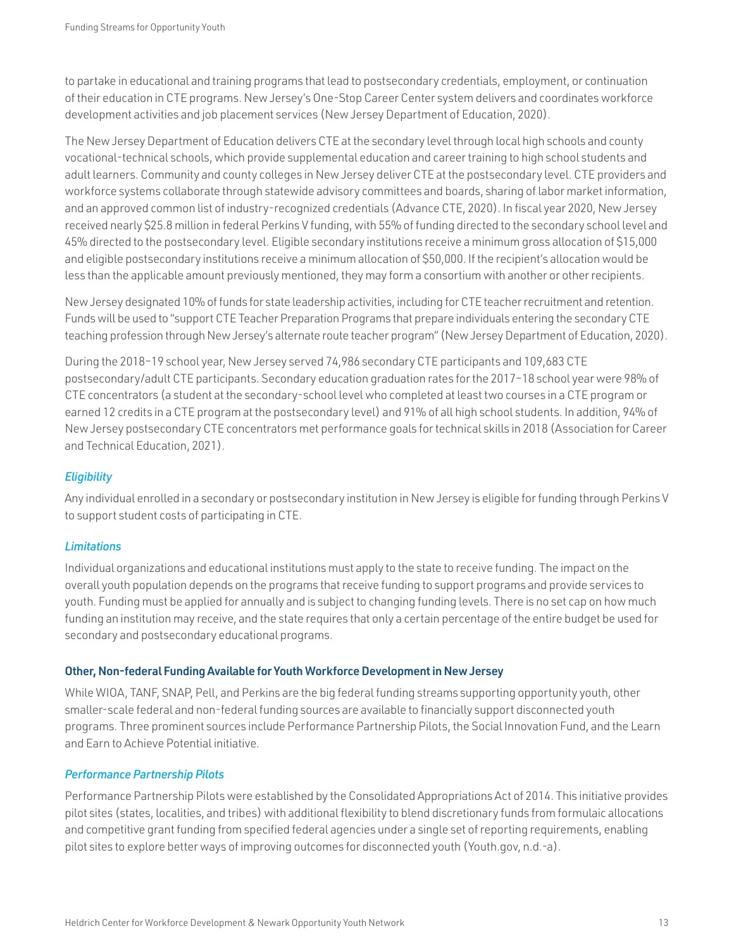to partake in educational and training programs that lead to postsecondary credentials, employment, or continuation of their education in CTE programs. New Jersey's One-Stop Career Center system delivers and coordinates workforce development activities and job placement services (New Jersey Department of Education, 2020).

The New Jersey Department of Education delivers CTE at the secondary level through local high schools and county vocational-technical schools, which provide supplemental education and career training to high school students and adult learners. Community and county colleges in New Jersey deliver CTE at the postsecondary level. CTE providers and workforce systems collaborate through statewide advisory committees and boards, sharing of labor market information, and an approved common list of industry-recognized credentials (Advance CTE, 2020). In fiscal year 2020, New Jersey received nearly \$25.8 million in federal Perkins V funding, with 55% of funding directed to the secondary school level and 45% directed to the postsecondary level. Eligible secondary institutions receive a minimum gross allocation of \$15,000 and eligible postsecondary institutions receive a minimum allocation of \$50,000. If the recipient's allocation would be less than the applicable amount previously mentioned, they may form a consortium with another or other recipients.

New Jersey designated 10% of funds for state leadership activities, including for CTE teacher recruitment and retention. Funds will be used to "support CTE Teacher Preparation Programs that prepare individuals entering the secondary CTE teaching profession through New Jersey's alternate route teacher program" (New Jersey Department of Education, 2020).

During the 2018–19 school year, New Jersey served 74,986 secondary CTE participants and 109,683 CTE postsecondary/adult CTE participants. Secondary education graduation rates for the 2017–18 school year were 98% of CTE concentrators (a student at the secondary-school level who completed at least two courses in a CTE program or earned 12 credits in a CTE program at the postsecondary level) and 91% of all high school students. In addition, 94% of New Jersey postsecondary CTE concentrators met performance goals for technical skills in 2018 (Association for Career and Technical Education, 2021).

#### *Eligibility*

Any individual enrolled in a secondary or postsecondary institution in New Jersey is eligible for funding through Perkins V to support student costs of participating in CTE.

#### *Limitations*

Individual organizations and educational institutions must apply to the state to receive funding. The impact on the overall youth population depends on the programs that receive funding to support programs and provide services to youth. Funding must be applied for annually and is subject to changing funding levels. There is no set cap on how much funding an institution may receive, and the state requires that only a certain percentage of the entire budget be used for secondary and postsecondary educational programs.

#### Other, Non-federal Funding Available for Youth Workforce Development in New Jersey

While WIOA, TANF, SNAP, Pell, and Perkins are the big federal funding streams supporting opportunity youth, other smaller-scale federal and non-federal funding sources are available to financially support disconnected youth programs. Three prominent sources include Performance Partnership Pilots, the Social Innovation Fund, and the Learn and Earn to Achieve Potential initiative.

#### *Performance Partnership Pilots*

Performance Partnership Pilots were established by the Consolidated Appropriations Act of 2014. This initiative provides pilot sites (states, localities, and tribes) with additional flexibility to blend discretionary funds from formulaic allocations and competitive grant funding from specified federal agencies under a single set of reporting requirements, enabling pilot sites to explore better ways of improving outcomes for disconnected youth [\(Youth.gov,](http://Youth.gov) n.d.-a).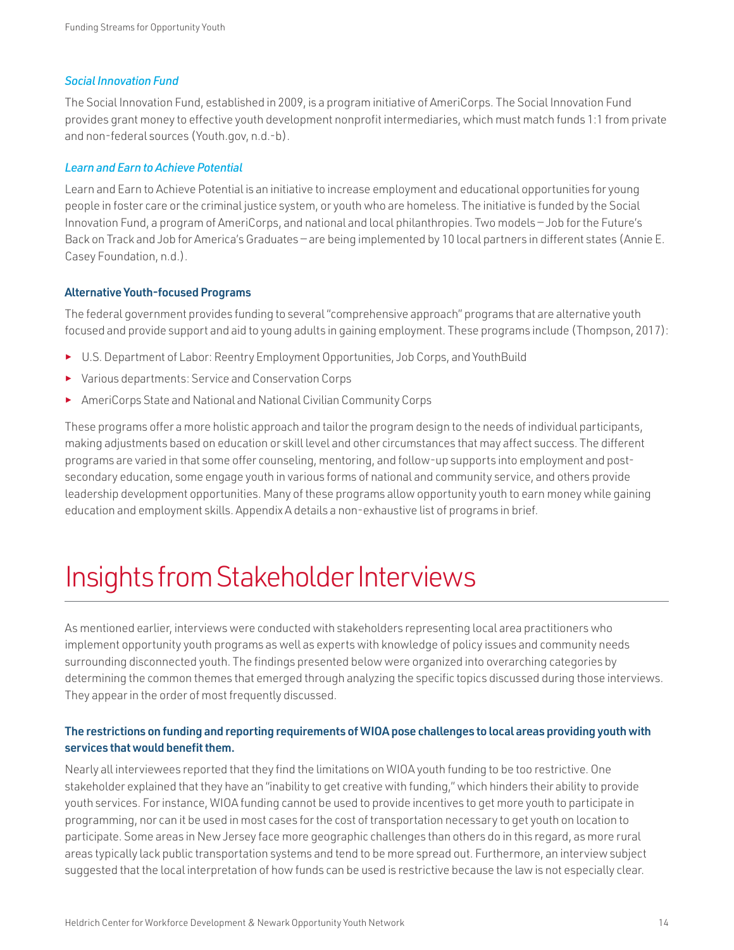#### <span id="page-15-0"></span>*Social Innovation Fund*

The Social Innovation Fund, established in 2009, is a program initiative of AmeriCorps. The Social Innovation Fund provides grant money to effective youth development nonprofit intermediaries, which must match funds 1:1 from private and non-federal sources [\(Youth.gov](http://Youth.gov), n.d.-b).

#### *Learn and Earn to Achieve Potential*

Learn and Earn to Achieve Potential is an initiative to increase employment and educational opportunities for young people in foster care or the criminal justice system, or youth who are homeless. The initiative is funded by the Social Innovation Fund, a program of AmeriCorps, and national and local philanthropies. Two models — Job for the Future's Back on Track and Job for America's Graduates — are being implemented by 10 local partners in different states (Annie E. Casey Foundation, n.d.).

#### Alternative Youth-focused Programs

The federal government provides funding to several "comprehensive approach" programs that are alternative youth focused and provide support and aid to young adults in gaining employment. These programs include (Thompson, 2017):

- ► U.S. Department of Labor: Reentry Employment Opportunities, Job Corps, and YouthBuild
- ► Various departments: Service and Conservation Corps
- ► AmeriCorps State and National and National Civilian Community Corps

These programs offer a more holistic approach and tailor the program design to the needs of individual participants, making adjustments based on education or skill level and other circumstances that may affect success. The different programs are varied in that some offer counseling, mentoring, and follow-up supports into employment and postsecondary education, some engage youth in various forms of national and community service, and others provide leadership development opportunities. Many of these programs allow opportunity youth to earn money while gaining education and employment skills. Appendix A details a non-exhaustive list of programs in brief.

### Insights from Stakeholder Interviews

As mentioned earlier, interviews were conducted with stakeholders representing local area practitioners who implement opportunity youth programs as well as experts with knowledge of policy issues and community needs surrounding disconnected youth. The findings presented below were organized into overarching categories by determining the common themes that emerged through analyzing the specific topics discussed during those interviews. They appear in the order of most frequently discussed.

#### The restrictions on funding and reporting requirements of WIOA pose challenges to local areas providing youth with services that would benefit them.

Nearly all interviewees reported that they find the limitations on WIOA youth funding to be too restrictive. One stakeholder explained that they have an "inability to get creative with funding," which hinders their ability to provide youth services. For instance, WIOA funding cannot be used to provide incentives to get more youth to participate in programming, nor can it be used in most cases for the cost of transportation necessary to get youth on location to participate. Some areas in New Jersey face more geographic challenges than others do in this regard, as more rural areas typically lack public transportation systems and tend to be more spread out. Furthermore, an interview subject suggested that the local interpretation of how funds can be used is restrictive because the law is not especially clear.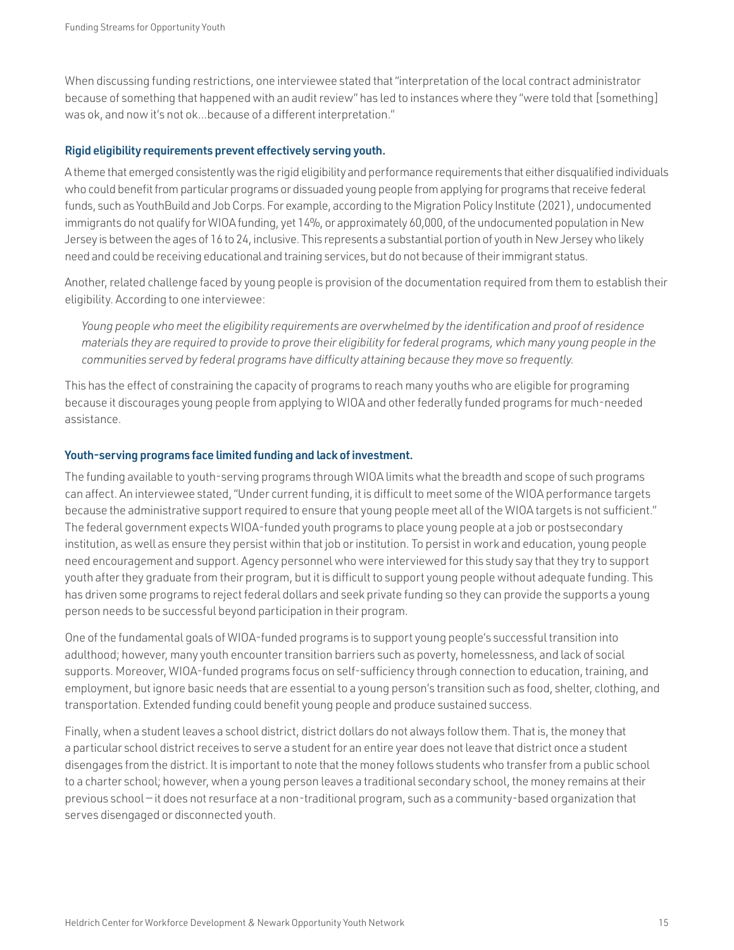When discussing funding restrictions, one interviewee stated that "interpretation of the local contract administrator because of something that happened with an audit review" has led to instances where they "were told that [something] was ok, and now it's not ok...because of a different interpretation."

#### Rigid eligibility requirements prevent effectively serving youth.

A theme that emerged consistently was the rigid eligibility and performance requirements that either disqualified individuals who could benefit from particular programs or dissuaded young people from applying for programs that receive federal funds, such as YouthBuild and Job Corps. For example, according to the Migration Policy Institute (2021), undocumented immigrants do not qualify for WIOA funding, yet 14%, or approximately 60,000, of the undocumented population in New Jersey is between the ages of 16 to 24, inclusive. This represents a substantial portion of youth in New Jersey who likely need and could be receiving educational and training services, but do not because of their immigrant status.

Another, related challenge faced by young people is provision of the documentation required from them to establish their eligibility. According to one interviewee:

*Young people who meet the eligibility requirements are overwhelmed by the identification and proof of residence materials they are required to provide to prove their eligibility for federal programs, which many young people in the communities served by federal programs have difficulty attaining because they move so frequently.*

This has the effect of constraining the capacity of programs to reach many youths who are eligible for programing because it discourages young people from applying to WIOA and other federally funded programs for much-needed assistance.

#### Youth-serving programs face limited funding and lack of investment.

The funding available to youth-serving programs through WIOA limits what the breadth and scope of such programs can affect. An interviewee stated, "Under current funding, it is difficult to meet some of the WIOA performance targets because the administrative support required to ensure that young people meet all of the WIOA targets is not sufficient." The federal government expects WIOA-funded youth programs to place young people at a job or postsecondary institution, as well as ensure they persist within that job or institution. To persist in work and education, young people need encouragement and support. Agency personnel who were interviewed for this study say that they try to support youth after they graduate from their program, but it is difficult to support young people without adequate funding. This has driven some programs to reject federal dollars and seek private funding so they can provide the supports a young person needs to be successful beyond participation in their program.

One of the fundamental goals of WIOA-funded programs is to support young people's successful transition into adulthood; however, many youth encounter transition barriers such as poverty, homelessness, and lack of social supports. Moreover, WIOA-funded programs focus on self-sufficiency through connection to education, training, and employment, but ignore basic needs that are essential to a young person's transition such as food, shelter, clothing, and transportation. Extended funding could benefit young people and produce sustained success.

Finally, when a student leaves a school district, district dollars do not always follow them. That is, the money that a particular school district receives to serve a student for an entire year does not leave that district once a student disengages from the district. It is important to note that the money follows students who transfer from a public school to a charter school; however, when a young person leaves a traditional secondary school, the money remains at their previous school — it does not resurface at a non-traditional program, such as a community-based organization that serves disengaged or disconnected youth.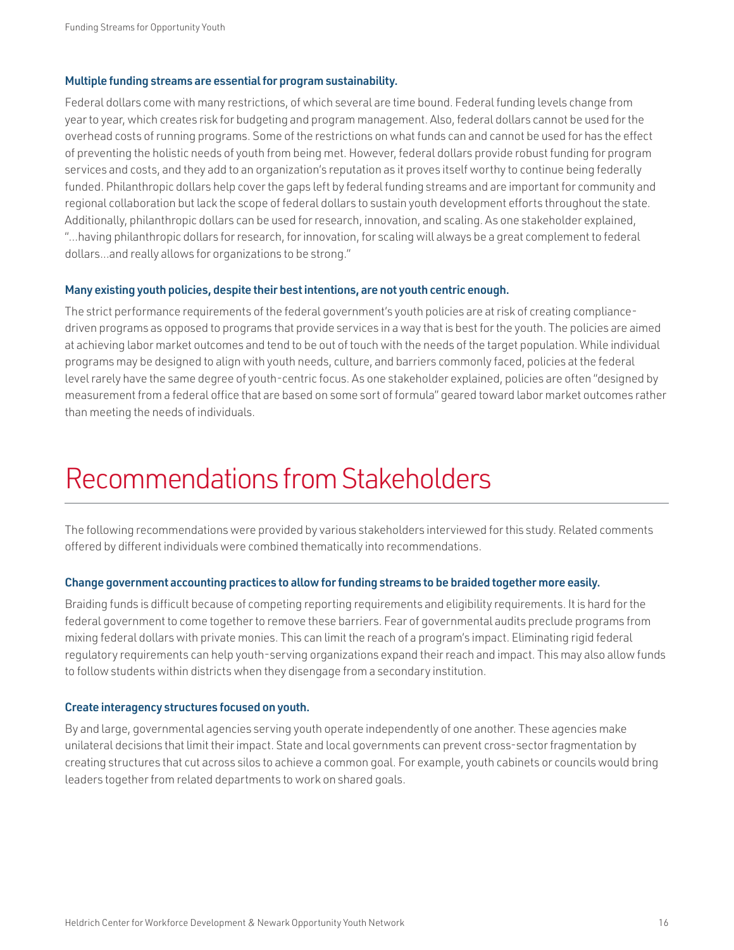#### <span id="page-17-0"></span>Multiple funding streams are essential for program sustainability.

Federal dollars come with many restrictions, of which several are time bound. Federal funding levels change from year to year, which creates risk for budgeting and program management. Also, federal dollars cannot be used for the overhead costs of running programs. Some of the restrictions on what funds can and cannot be used for has the effect of preventing the holistic needs of youth from being met. However, federal dollars provide robust funding for program services and costs, and they add to an organization's reputation as it proves itself worthy to continue being federally funded. Philanthropic dollars help cover the gaps left by federal funding streams and are important for community and regional collaboration but lack the scope of federal dollars to sustain youth development efforts throughout the state. Additionally, philanthropic dollars can be used for research, innovation, and scaling. As one stakeholder explained, "...having philanthropic dollars for research, for innovation, for scaling will always be a great complement to federal dollars...and really allows for organizations to be strong."

#### Many existing youth policies, despite their best intentions, are not youth centric enough.

The strict performance requirements of the federal government's youth policies are at risk of creating compliancedriven programs as opposed to programs that provide services in a way that is best for the youth. The policies are aimed at achieving labor market outcomes and tend to be out of touch with the needs of the target population. While individual programs may be designed to align with youth needs, culture, and barriers commonly faced, policies at the federal level rarely have the same degree of youth-centric focus. As one stakeholder explained, policies are often "designed by measurement from a federal office that are based on some sort of formula" geared toward labor market outcomes rather than meeting the needs of individuals.

### Recommendations from Stakeholders

The following recommendations were provided by various stakeholders interviewed for this study. Related comments offered by different individuals were combined thematically into recommendations.

#### Change government accounting practices to allow for funding streams to be braided together more easily.

Braiding funds is difficult because of competing reporting requirements and eligibility requirements. It is hard for the federal government to come together to remove these barriers. Fear of governmental audits preclude programs from mixing federal dollars with private monies. This can limit the reach of a program's impact. Eliminating rigid federal regulatory requirements can help youth-serving organizations expand their reach and impact. This may also allow funds to follow students within districts when they disengage from a secondary institution.

#### Create interagency structures focused on youth.

By and large, governmental agencies serving youth operate independently of one another. These agencies make unilateral decisions that limit their impact. State and local governments can prevent cross-sector fragmentation by creating structures that cut across silos to achieve a common goal. For example, youth cabinets or councils would bring leaders together from related departments to work on shared goals.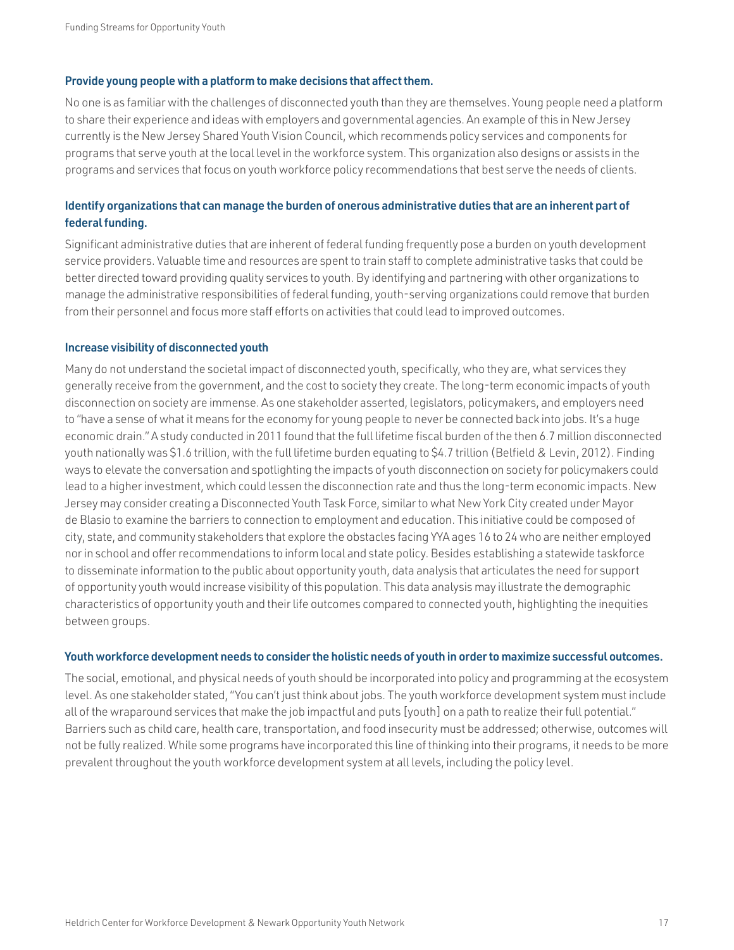#### Provide young people with a platform to make decisions that affect them.

No one is as familiar with the challenges of disconnected youth than they are themselves. Young people need a platform to share their experience and ideas with employers and governmental agencies. An example of this in New Jersey currently is the New Jersey Shared Youth Vision Council, which recommends policy services and components for programs that serve youth at the local level in the workforce system. This organization also designs or assists in the programs and services that focus on youth workforce policy recommendations that best serve the needs of clients.

#### Identify organizations that can manage the burden of onerous administrative duties that are an inherent part of federal funding.

Significant administrative duties that are inherent of federal funding frequently pose a burden on youth development service providers. Valuable time and resources are spent to train staff to complete administrative tasks that could be better directed toward providing quality services to youth. By identifying and partnering with other organizations to manage the administrative responsibilities of federal funding, youth-serving organizations could remove that burden from their personnel and focus more staff efforts on activities that could lead to improved outcomes.

#### Increase visibility of disconnected youth

Many do not understand the societal impact of disconnected youth, specifically, who they are, what services they generally receive from the government, and the cost to society they create. The long-term economic impacts of youth disconnection on society are immense. As one stakeholder asserted, legislators, policymakers, and employers need to "have a sense of what it means for the economy for young people to never be connected back into jobs. It's a huge economic drain." A study conducted in 2011 found that the full lifetime fiscal burden of the then 6.7 million disconnected youth nationally was \$1.6 trillion, with the full lifetime burden equating to \$4.7 trillion (Belfield & Levin, 2012). Finding ways to elevate the conversation and spotlighting the impacts of youth disconnection on society for policymakers could lead to a higher investment, which could lessen the disconnection rate and thus the long-term economic impacts. New Jersey may consider creating a Disconnected Youth Task Force, similar to what New York City created under Mayor de Blasio to examine the barriers to connection to employment and education. This initiative could be composed of city, state, and community stakeholders that explore the obstacles facing YYA ages 16 to 24 who are neither employed nor in school and offer recommendations to inform local and state policy. Besides establishing a statewide taskforce to disseminate information to the public about opportunity youth, data analysis that articulates the need for support of opportunity youth would increase visibility of this population. This data analysis may illustrate the demographic characteristics of opportunity youth and their life outcomes compared to connected youth, highlighting the inequities between groups.

#### Youth workforce development needs to consider the holistic needs of youth in order to maximize successful outcomes.

The social, emotional, and physical needs of youth should be incorporated into policy and programming at the ecosystem level. As one stakeholder stated, "You can't just think about jobs. The youth workforce development system must include all of the wraparound services that make the job impactful and puts [youth] on a path to realize their full potential." Barriers such as child care, health care, transportation, and food insecurity must be addressed; otherwise, outcomes will not be fully realized. While some programs have incorporated this line of thinking into their programs, it needs to be more prevalent throughout the youth workforce development system at all levels, including the policy level.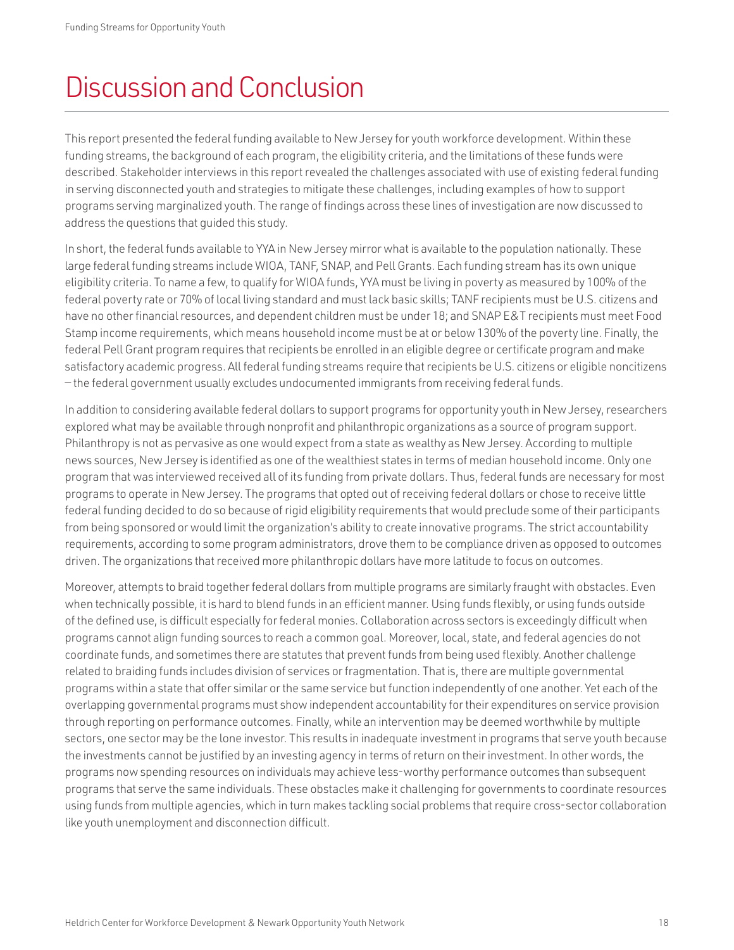### <span id="page-19-0"></span>Discussion and Conclusion

This report presented the federal funding available to New Jersey for youth workforce development. Within these funding streams, the background of each program, the eligibility criteria, and the limitations of these funds were described. Stakeholder interviews in this report revealed the challenges associated with use of existing federal funding in serving disconnected youth and strategies to mitigate these challenges, including examples of how to support programs serving marginalized youth. The range of findings across these lines of investigation are now discussed to address the questions that guided this study.

In short, the federal funds available to YYA in New Jersey mirror what is available to the population nationally. These large federal funding streams include WIOA, TANF, SNAP, and Pell Grants. Each funding stream has its own unique eligibility criteria. To name a few, to qualify for WIOA funds, YYA must be living in poverty as measured by 100% of the federal poverty rate or 70% of local living standard and must lack basic skills; TANF recipients must be U.S. citizens and have no other financial resources, and dependent children must be under 18; and SNAP E&T recipients must meet Food Stamp income requirements, which means household income must be at or below 130% of the poverty line. Finally, the federal Pell Grant program requires that recipients be enrolled in an eligible degree or certificate program and make satisfactory academic progress. All federal funding streams require that recipients be U.S. citizens or eligible noncitizens — the federal government usually excludes undocumented immigrants from receiving federal funds.

In addition to considering available federal dollars to support programs for opportunity youth in New Jersey, researchers explored what may be available through nonprofit and philanthropic organizations as a source of program support. Philanthropy is not as pervasive as one would expect from a state as wealthy as New Jersey. According to multiple news sources, New Jersey is identified as one of the wealthiest states in terms of median household income. Only one program that was interviewed received all of its funding from private dollars. Thus, federal funds are necessary for most programs to operate in New Jersey. The programs that opted out of receiving federal dollars or chose to receive little federal funding decided to do so because of rigid eligibility requirements that would preclude some of their participants from being sponsored or would limit the organization's ability to create innovative programs. The strict accountability requirements, according to some program administrators, drove them to be compliance driven as opposed to outcomes driven. The organizations that received more philanthropic dollars have more latitude to focus on outcomes.

Moreover, attempts to braid together federal dollars from multiple programs are similarly fraught with obstacles. Even when technically possible, it is hard to blend funds in an efficient manner. Using funds flexibly, or using funds outside of the defined use, is difficult especially for federal monies. Collaboration across sectors is exceedingly difficult when programs cannot align funding sources to reach a common goal. Moreover, local, state, and federal agencies do not coordinate funds, and sometimes there are statutes that prevent funds from being used flexibly. Another challenge related to braiding funds includes division of services or fragmentation. That is, there are multiple governmental programs within a state that offer similar or the same service but function independently of one another. Yet each of the overlapping governmental programs must show independent accountability for their expenditures on service provision through reporting on performance outcomes. Finally, while an intervention may be deemed worthwhile by multiple sectors, one sector may be the lone investor. This results in inadequate investment in programs that serve youth because the investments cannot be justified by an investing agency in terms of return on their investment. In other words, the programs now spending resources on individuals may achieve less-worthy performance outcomes than subsequent programs that serve the same individuals. These obstacles make it challenging for governments to coordinate resources using funds from multiple agencies, which in turn makes tackling social problems that require cross-sector collaboration like youth unemployment and disconnection difficult.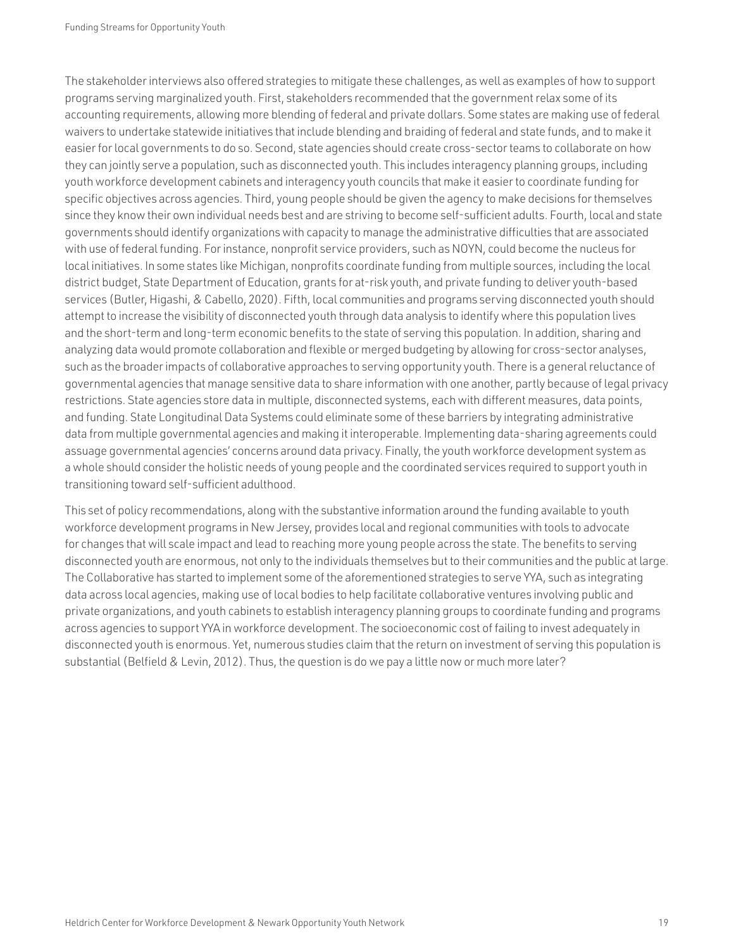The stakeholder interviews also offered strategies to mitigate these challenges, as well as examples of how to support programs serving marginalized youth. First, stakeholders recommended that the government relax some of its accounting requirements, allowing more blending of federal and private dollars. Some states are making use of federal waivers to undertake statewide initiatives that include blending and braiding of federal and state funds, and to make it easier for local governments to do so. Second, state agencies should create cross-sector teams to collaborate on how they can jointly serve a population, such as disconnected youth. This includes interagency planning groups, including youth workforce development cabinets and interagency youth councils that make it easier to coordinate funding for specific objectives across agencies. Third, young people should be given the agency to make decisions for themselves since they know their own individual needs best and are striving to become self-sufficient adults. Fourth, local and state governments should identify organizations with capacity to manage the administrative difficulties that are associated with use of federal funding. For instance, nonprofit service providers, such as NOYN, could become the nucleus for local initiatives. In some states like Michigan, nonprofits coordinate funding from multiple sources, including the local district budget, State Department of Education, grants for at-risk youth, and private funding to deliver youth-based services (Butler, Higashi, & Cabello, 2020). Fifth, local communities and programs serving disconnected youth should attempt to increase the visibility of disconnected youth through data analysis to identify where this population lives and the short-term and long-term economic benefits to the state of serving this population. In addition, sharing and analyzing data would promote collaboration and flexible or merged budgeting by allowing for cross-sector analyses, such as the broader impacts of collaborative approaches to serving opportunity youth. There is a general reluctance of governmental agencies that manage sensitive data to share information with one another, partly because of legal privacy restrictions. State agencies store data in multiple, disconnected systems, each with different measures, data points, and funding. State Longitudinal Data Systems could eliminate some of these barriers by integrating administrative data from multiple governmental agencies and making it interoperable. Implementing data-sharing agreements could assuage governmental agencies' concerns around data privacy. Finally, the youth workforce development system as a whole should consider the holistic needs of young people and the coordinated services required to support youth in transitioning toward self-sufficient adulthood.

This set of policy recommendations, along with the substantive information around the funding available to youth workforce development programs in New Jersey, provides local and regional communities with tools to advocate for changes that will scale impact and lead to reaching more young people across the state. The benefits to serving disconnected youth are enormous, not only to the individuals themselves but to their communities and the public at large. The Collaborative has started to implement some of the aforementioned strategies to serve YYA, such as integrating data across local agencies, making use of local bodies to help facilitate collaborative ventures involving public and private organizations, and youth cabinets to establish interagency planning groups to coordinate funding and programs across agencies to support YYA in workforce development. The socioeconomic cost of failing to invest adequately in disconnected youth is enormous. Yet, numerous studies claim that the return on investment of serving this population is substantial (Belfield & Levin, 2012). Thus, the question is do we pay a little now or much more later?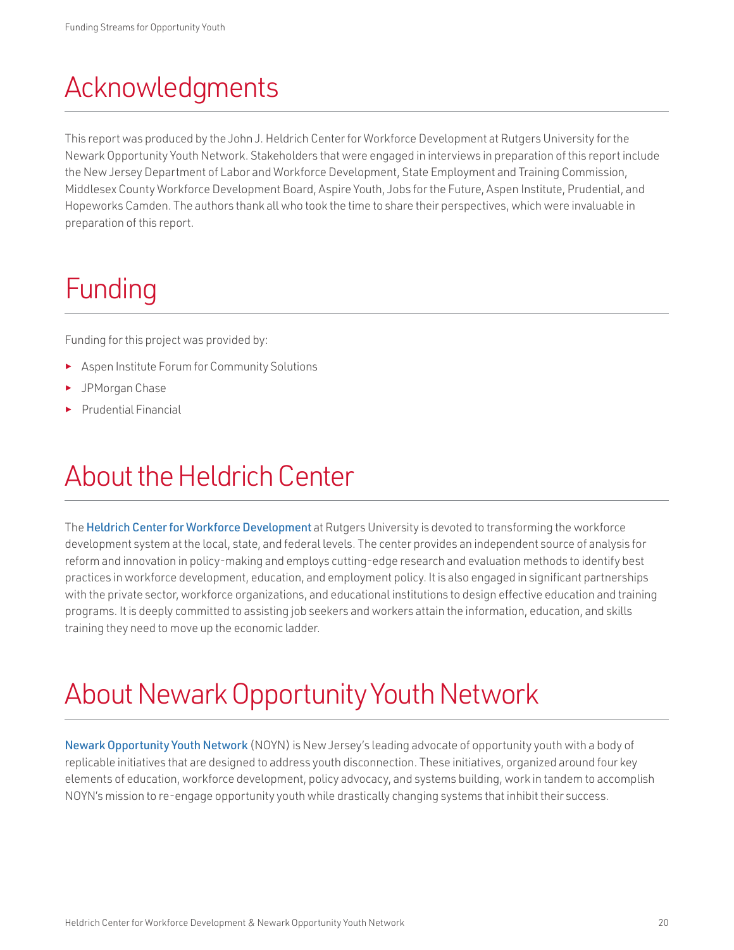## <span id="page-21-0"></span>Acknowledgments

This report was produced by the John J. Heldrich Center for Workforce Development at Rutgers University for the Newark Opportunity Youth Network. Stakeholders that were engaged in interviews in preparation of this report include the New Jersey Department of Labor and Workforce Development, State Employment and Training Commission, Middlesex County Workforce Development Board, Aspire Youth, Jobs for the Future, Aspen Institute, Prudential, and Hopeworks Camden. The authors thank all who took the time to share their perspectives, which were invaluable in preparation of this report.

# Funding

Funding for this project was provided by:

- Aspen Institute Forum for Community Solutions
- ► JPMorgan Chase
- ► Prudential Financial

### About the Heldrich Center

The [Heldrich Center for Workforce Development](http://www.heldrich.rutgers.edu) at Rutgers University is devoted to transforming the workforce development system at the local, state, and federal levels. The center provides an independent source of analysis for reform and innovation in policy-making and employs cutting-edge research and evaluation methods to identify best practices in workforce development, education, and employment policy. It is also engaged in significant partnerships with the private sector, workforce organizations, and educational institutions to design effective education and training programs. It is deeply committed to assisting job seekers and workers attain the information, education, and skills training they need to move up the economic ladder.

### About Newark Opportunity Youth Network

[Newark Opportunity Youth Network](http://www.newark-oyn.org) (NOYN) is New Jersey's leading advocate of opportunity youth with a body of replicable initiatives that are designed to address youth disconnection. These initiatives, organized around four key elements of education, workforce development, policy advocacy, and systems building, work in tandem to accomplish NOYN's mission to re-engage opportunity youth while drastically changing systems that inhibit their success.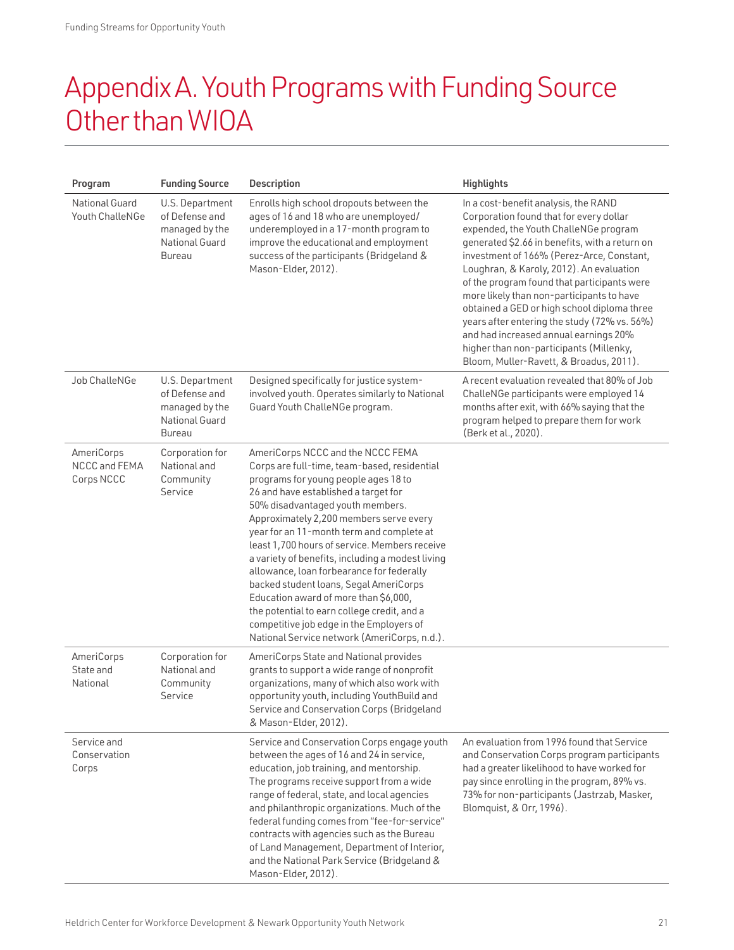### <span id="page-22-0"></span>Appendix A. Youth Programs with Funding Source Other than WIOA

| Program                                   | <b>Funding Source</b>                                                                  | <b>Description</b>                                                                                                                                                                                                                                                                                                                                                                                                                                                                                                                                                                                                                                                            | <b>Highlights</b>                                                                                                                                                                                                                                                                                                                                                                                                                                                                                                                                                                             |
|-------------------------------------------|----------------------------------------------------------------------------------------|-------------------------------------------------------------------------------------------------------------------------------------------------------------------------------------------------------------------------------------------------------------------------------------------------------------------------------------------------------------------------------------------------------------------------------------------------------------------------------------------------------------------------------------------------------------------------------------------------------------------------------------------------------------------------------|-----------------------------------------------------------------------------------------------------------------------------------------------------------------------------------------------------------------------------------------------------------------------------------------------------------------------------------------------------------------------------------------------------------------------------------------------------------------------------------------------------------------------------------------------------------------------------------------------|
| <b>National Guard</b><br>Youth ChalleNGe  | U.S. Department<br>of Defense and<br>managed by the<br>National Guard<br><b>Bureau</b> | Enrolls high school dropouts between the<br>ages of 16 and 18 who are unemployed/<br>underemployed in a 17-month program to<br>improve the educational and employment<br>success of the participants (Bridgeland &<br>Mason-Elder, 2012).                                                                                                                                                                                                                                                                                                                                                                                                                                     | In a cost-benefit analysis, the RAND<br>Corporation found that for every dollar<br>expended, the Youth ChalleNGe program<br>generated \$2.66 in benefits, with a return on<br>investment of 166% (Perez-Arce, Constant,<br>Loughran, & Karoly, 2012). An evaluation<br>of the program found that participants were<br>more likely than non-participants to have<br>obtained a GED or high school diploma three<br>years after entering the study (72% vs. 56%)<br>and had increased annual earnings 20%<br>higher than non-participants (Millenky,<br>Bloom, Muller-Ravett, & Broadus, 2011). |
| Job ChalleNGe                             | U.S. Department<br>of Defense and<br>managed by the<br>National Guard<br><b>Bureau</b> | Designed specifically for justice system-<br>involved youth. Operates similarly to National<br>Guard Youth ChalleNGe program.                                                                                                                                                                                                                                                                                                                                                                                                                                                                                                                                                 | A recent evaluation revealed that 80% of Job<br>ChalleNGe participants were employed 14<br>months after exit, with 66% saying that the<br>program helped to prepare them for work<br>(Berk et al., 2020).                                                                                                                                                                                                                                                                                                                                                                                     |
| AmeriCorps<br>NCCC and FEMA<br>Corps NCCC | Corporation for<br>National and<br>Community<br>Service                                | AmeriCorps NCCC and the NCCC FEMA<br>Corps are full-time, team-based, residential<br>programs for young people ages 18 to<br>26 and have established a target for<br>50% disadvantaged youth members.<br>Approximately 2,200 members serve every<br>year for an 11-month term and complete at<br>least 1,700 hours of service. Members receive<br>a variety of benefits, including a modest living<br>allowance, loan forbearance for federally<br>backed student loans, Segal AmeriCorps<br>Education award of more than \$6,000,<br>the potential to earn college credit, and a<br>competitive job edge in the Employers of<br>National Service network (AmeriCorps, n.d.). |                                                                                                                                                                                                                                                                                                                                                                                                                                                                                                                                                                                               |
| AmeriCorps<br>State and<br>National       | Corporation for<br>National and<br>Community<br>Service                                | AmeriCorps State and National provides<br>grants to support a wide range of nonprofit<br>organizations, many of which also work with<br>opportunity youth, including YouthBuild and<br>Service and Conservation Corps (Bridgeland<br>& Mason-Elder, 2012).                                                                                                                                                                                                                                                                                                                                                                                                                    |                                                                                                                                                                                                                                                                                                                                                                                                                                                                                                                                                                                               |
| Service and<br>Conservation<br>Corps      |                                                                                        | Service and Conservation Corps engage youth<br>between the ages of 16 and 24 in service,<br>education, job training, and mentorship.<br>The programs receive support from a wide<br>range of federal, state, and local agencies<br>and philanthropic organizations. Much of the<br>federal funding comes from "fee-for-service"<br>contracts with agencies such as the Bureau<br>of Land Management, Department of Interior,<br>and the National Park Service (Bridgeland &<br>Mason-Elder, 2012).                                                                                                                                                                            | An evaluation from 1996 found that Service<br>and Conservation Corps program participants<br>had a greater likelihood to have worked for<br>pay since enrolling in the program, 89% vs.<br>73% for non-participants (Jastrzab, Masker,<br>Blomquist, & Orr, 1996).                                                                                                                                                                                                                                                                                                                            |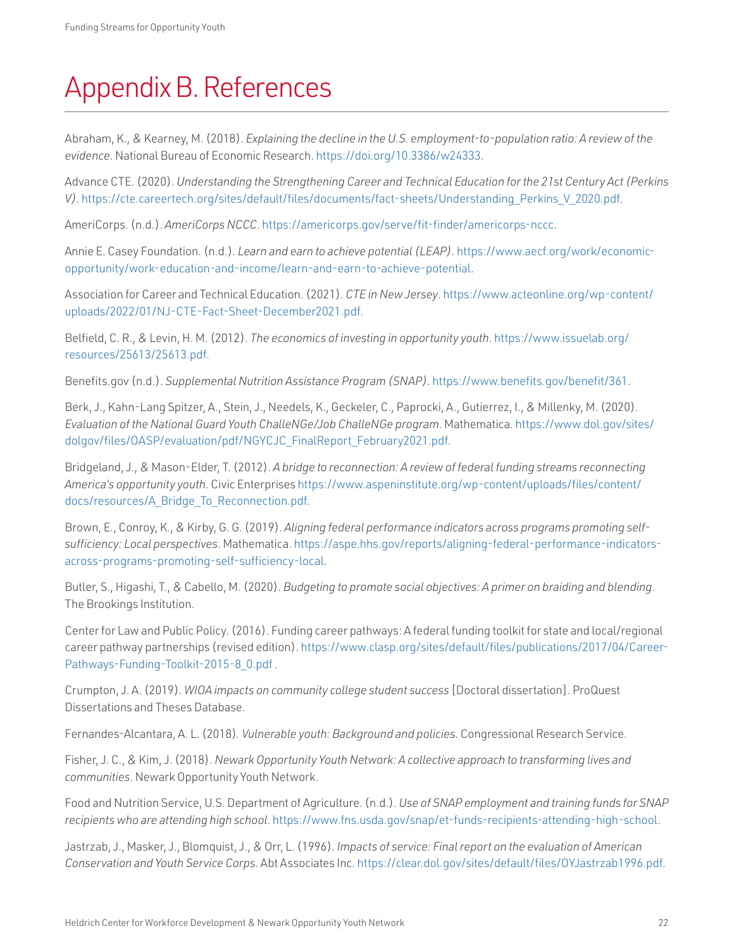# <span id="page-23-0"></span>Appendix B. References

Abraham, K., & Kearney, M. (2018). *Explaining the decline in the U.S. employment-to-population ratio: A review of the evidence*. National Bureau of Economic Research. <https://doi.org/10.3386/w24333>.

Advance CTE. (2020). *Understanding the Strengthening Career and Technical Education for the 21st Century Act (Perkins V)*. [https://cte.careertech.org/sites/default/files/documents/fact-sheets/Understanding\\_Perkins\\_V\\_2020.pdf](https://cte.careertech.org/sites/default/files/documents/fact-sheets/Understanding_Perkins_V_2020.pdf).

AmeriCorps. (n.d.). *AmeriCorps NCCC*. [https://americorps.gov/serve/fit-finder/americorps-nccc.](https://americorps.gov/serve/fit-finder/americorps-nccc)

Annie E. Casey Foundation. (n.d.)*. Learn and earn to achieve potential (LEAP)*. [https://www.aecf.org/work/economic](https://www.aecf.org/work/economic-opportunity/work-education-and-income/learn-and-earn-to-achieve-potential)[opportunity/work-education-and-income/learn-and-earn-to-achieve-potential.](https://www.aecf.org/work/economic-opportunity/work-education-and-income/learn-and-earn-to-achieve-potential)

Association for Career and Technical Education. (2021). *CTE in New Jersey*. [https://www.acteonline.org/wp-content/](https://www.acteonline.org/wp-content/uploads/2022/01/NJ-CTE-Fact-Sheet-December2021.pdf) [uploads/2022/01/NJ-CTE-Fact-Sheet-December2021.pdf](https://www.acteonline.org/wp-content/uploads/2022/01/NJ-CTE-Fact-Sheet-December2021.pdf).

Belfield, C. R., & Levin, H. M. (2012). *The economics of investing in opportunity youth*. [https://www.issuelab.org/](https://www.issuelab.org/resources/25613/25613.pdf) [resources/25613/25613.pdf](https://www.issuelab.org/resources/25613/25613.pdf).

[Benefits.gov](http://Benefits.gov) (n.d.). *Supplemental Nutrition Assistance Program (SNAP)*. [https://www.benefits.gov/benefit/361.](https://www.benefits.gov/benefit/361)

Berk, J., Kahn-Lang Spitzer, A., Stein, J., Needels, K., Geckeler, C., Paprocki, A., Gutierrez, I., & Millenky, M. (2020). *Evaluation of the National Guard Youth ChalleNGe/Job ChalleNGe program*. Mathematica. [https://www.dol.gov/sites/](https://www.dol.gov/sites/dolgov/files/OASP/evaluation/pdf/NGYCJC_FinalReport_February2021.pdf) [dolgov/files/OASP/evaluation/pdf/NGYCJC\\_FinalReport\\_February2021.pdf.](https://www.dol.gov/sites/dolgov/files/OASP/evaluation/pdf/NGYCJC_FinalReport_February2021.pdf)

Bridgeland, J., & Mason-Elder, T. (2012). *A bridge to reconnection: A review of federal funding streams reconnecting America's opportunity youth*. Civic Enterprises [https://www.aspeninstitute.org/wp-content/uploads/files/content/](https://www.aspeninstitute.org/wp-content/uploads/files/content/docs/resources/A_Bridge_To_Reconnection.pdf) [docs/resources/A\\_Bridge\\_To\\_Reconnection.pdf](https://www.aspeninstitute.org/wp-content/uploads/files/content/docs/resources/A_Bridge_To_Reconnection.pdf).

Brown, E., Conroy, K., & Kirby, G. G. (2019). *Aligning federal performance indicators across programs promoting selfsufficiency: Local perspectives*. Mathematica. [https://aspe.hhs.gov/reports/aligning-federal-performance-indicators](https://aspe.hhs.gov/reports/aligning-federal-performance-indicators-across-programs-promoting-self-sufficiency-local)[across-programs-promoting-self-sufficiency-local](https://aspe.hhs.gov/reports/aligning-federal-performance-indicators-across-programs-promoting-self-sufficiency-local).

Butler, S., Higashi, T., & Cabello, M. (2020). *Budgeting to promote social objectives: A primer on braiding and blending*. The Brookings Institution.

Center for Law and Public Policy. (2016). Funding career pathways: A federal funding toolkit for state and local/regional career pathway partnerships (revised edition). [https://www.clasp.org/sites/default/files/publications/2017/04/Career-](https://www.clasp.org/sites/default/files/publications/2017/04/Career-Pathways-Funding-Toolkit-2015-8_0.pdf)[Pathways-Funding-Toolkit-2015-8\\_0.pdf](https://www.clasp.org/sites/default/files/publications/2017/04/Career-Pathways-Funding-Toolkit-2015-8_0.pdf) .

Crumpton, J. A. (2019). *WIOA impacts on community college student success* [Doctoral dissertation]. ProQuest Dissertations and Theses Database.

Fernandes-Alcantara, A. L. (2018)*. Vulnerable youth: Background and policies*. Congressional Research Service.

Fisher, J. C., & Kim, J. (2018). *Newark Opportunity Youth Network: A collective approach to transforming lives and communities*. Newark Opportunity Youth Network.

Food and Nutrition Service, U.S. Department of Agriculture. (n.d.). *Use of SNAP employment and training funds for SNAP recipients who are attending high school*. [https://www.fns.usda.gov/snap/et-funds-recipients-attending-high-school.](https://www.fns.usda.gov/snap/et-funds-recipients-attending-high-school)

Jastrzab, J., Masker, J., Blomquist, J., & Orr, L. (1996). *Impacts of service: Final report on the evaluation of American Conservation and Youth Service Corps*. Abt Associates Inc. [https://clear.dol.gov/sites/default/files/OYJastrzab1996.pdf.](https://clear.dol.gov/sites/default/files/OYJastrzab1996.pdf)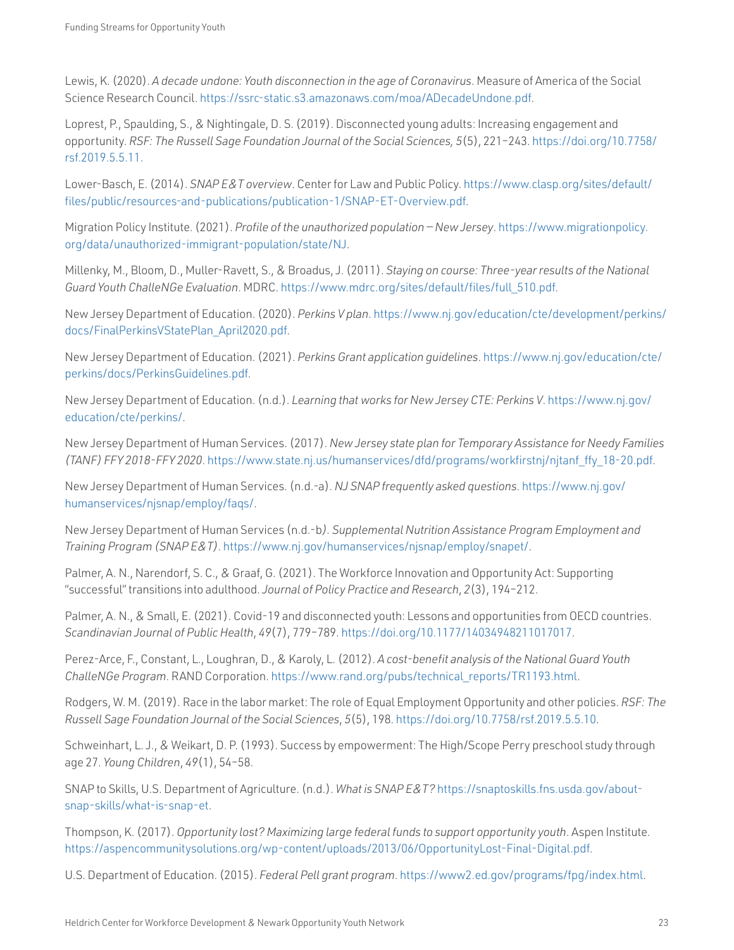Lewis, K. (2020). *A decade undone: Youth disconnection in the age of Coronavirus*. Measure of America of the Social Science Research Council. <https://ssrc-static.s3.amazonaws.com/moa/ADecadeUndone.pdf>.

Loprest, P., Spaulding, S., & Nightingale, D. S. (2019). Disconnected young adults: Increasing engagement and opportunity. *RSF: The Russell Sage Foundation Journal of the Social Sciences, 5*(5), 221–243. [https://doi.org/10.7758/](https://doi.org/10.7758/rsf.2019.5.5.11) [rsf.2019.5.5.11](https://doi.org/10.7758/rsf.2019.5.5.11).

Lower-Basch, E. (2014). *SNAP E&T overview*. Center for Law and Public Policy. [https://www.clasp.org/sites/default/](https://www.clasp.org/sites/default/files/public/resources-and-publications/publication-1/SNAP-ET-Overview.pdf) [files/public/resources-and-publications/publication-1/SNAP-ET-Overview.pdf.](https://www.clasp.org/sites/default/files/public/resources-and-publications/publication-1/SNAP-ET-Overview.pdf)

Migration Policy Institute. (2021). *Profile of the unauthorized population — New Jersey*. [https://www.migrationpolicy.](https://www.migrationpolicy.org/data/unauthorized-immigrant-population/state/NJ) [org/data/unauthorized-immigrant-population/state/NJ](https://www.migrationpolicy.org/data/unauthorized-immigrant-population/state/NJ).

Millenky, M., Bloom, D., Muller-Ravett, S., & Broadus, J. (2011). *Staying on course: Three-year results of the National Guard Youth ChalleNGe Evaluation*. MDRC. [https://www.mdrc.org/sites/default/files/full\\_510.pdf](https://www.mdrc.org/sites/default/files/full_510.pdf).

New Jersey Department of Education. (2020). *Perkins V plan*. [https://www.nj.gov/education/cte/development/perkins/](https://www.nj.gov/education/cte/development/perkins/docs/FinalPerkinsVStatePlan_April2020.pdf) [docs/FinalPerkinsVStatePlan\\_April2020.pdf](https://www.nj.gov/education/cte/development/perkins/docs/FinalPerkinsVStatePlan_April2020.pdf).

New Jersey Department of Education. (2021). *Perkins Grant application guidelines*. [https://www.nj.gov/education/cte/](https://www.nj.gov/education/cte/perkins/docs/PerkinsGuidelines.pdf) [perkins/docs/PerkinsGuidelines.pdf.](https://www.nj.gov/education/cte/perkins/docs/PerkinsGuidelines.pdf)

New Jersey Department of Education. (n.d.). *Learning that works for New Jersey CTE: Perkins V*. [https://www.nj.gov/](https://www.nj.gov/education/cte/perkins/) [education/cte/perkins/](https://www.nj.gov/education/cte/perkins/).

New Jersey Department of Human Services. (2017). *New Jersey state plan for Temporary Assistance for Needy Families (TANF) FFY 2018-FFY 2020*. [https://www.state.nj.us/humanservices/dfd/programs/workfirstnj/njtanf\\_ffy\\_18-20.pdf](https://www.state.nj.us/humanservices/dfd/programs/workfirstnj/njtanf_ffy_18-20.pdf).

New Jersey Department of Human Services. (n.d.-a). *NJ SNAP frequently asked questions*. [https://www.nj.gov/](https://www.nj.gov/humanservices/njsnap/employ/faqs/) [humanservices/njsnap/employ/faqs/.](https://www.nj.gov/humanservices/njsnap/employ/faqs/)

New Jersey Department of Human Services (n.d.-b*). Supplemental Nutrition Assistance Program Employment and Training Program (SNAP E&T)*.<https://www.nj.gov/humanservices/njsnap/employ/snapet/>.

Palmer, A. N., Narendorf, S. C., & Graaf, G. (2021). The Workforce Innovation and Opportunity Act: Supporting "successful" transitions into adulthood. *Journal of Policy Practice and Research*, *2*(3), 194–212.

Palmer, A. N., & Small, E. (2021). Covid-19 and disconnected youth: Lessons and opportunities from OECD countries. *Scandinavian Journal of Public Health*, *49*(7), 779–789. <https://doi.org/10.1177/14034948211017017>.

Perez-Arce, F., Constant, L., Loughran, D., & Karoly, L. (2012). *A cost-benefit analysis of the National Guard Youth ChalleNGe Program*. RAND Corporation. [https://www.rand.org/pubs/technical\\_reports/TR1193.html.](https://www.rand.org/pubs/technical_reports/TR1193.html)

Rodgers, W. M. (2019). Race in the labor market: The role of Equal Employment Opportunity and other policies. *RSF: The Russell Sage Foundation Journal of the Social Sciences*, *5*(5), 198.<https://doi.org/10.7758/rsf.2019.5.5.10>.

Schweinhart, L. J., & Weikart, D. P. (1993). Success by empowerment: The High/Scope Perry preschool study through age 27. *Young Children*, *49*(1), 54–58.

SNAP to Skills, U.S. Department of Agriculture. (n.d.). *What is SNAP E&T?* [https://snaptoskills.fns.usda.gov/about](https://snaptoskills.fns.usda.gov/about-snap-skills/what-is-snap-et)[snap-skills/what-is-snap-et](https://snaptoskills.fns.usda.gov/about-snap-skills/what-is-snap-et).

Thompson, K. (2017). *Opportunity lost? Maximizing large federal funds to support opportunity youth*. Aspen Institute. [https://aspencommunitysolutions.org/wp-content/uploads/2013/06/OpportunityLost-Final-Digital.pdf.](https://aspencommunitysolutions.org/wp-content/uploads/2013/06/OpportunityLost-Final-Digital.pdf)

U.S. Department of Education. (2015). *Federal Pell grant program*. [https://www2.ed.gov/programs/fpg/index.html.](https://www2.ed.gov/programs/fpg/index.html)